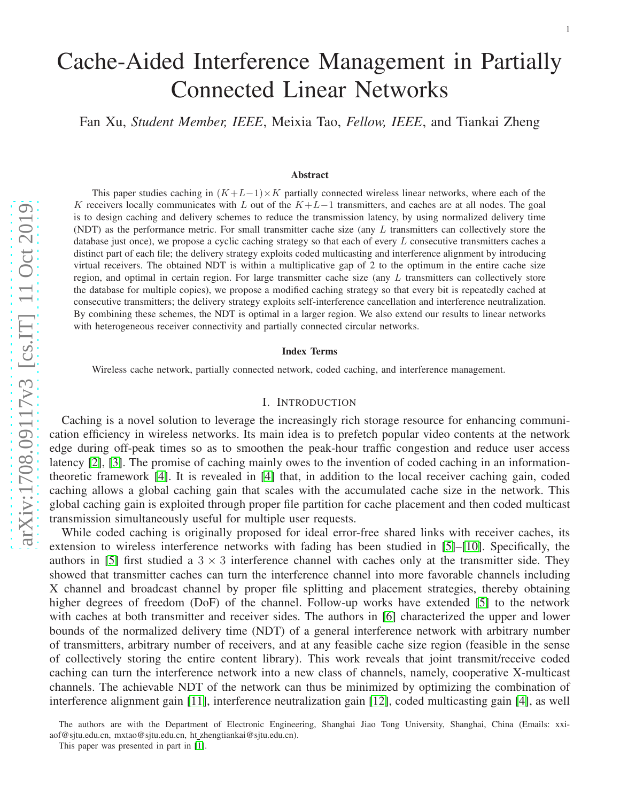# Cache-Aided Interference Management in Partially Connected Linear Networks

Fan Xu, *Student Member, IEEE*, Meixia Tao, *Fellow, IEEE*, and Tiankai Zheng

#### Abstract

This paper studies caching in  $(K+L-1) \times K$  partially connected wireless linear networks, where each of the K receivers locally communicates with L out of the  $K+L-1$  transmitters, and caches are at all nodes. The goal is to design caching and delivery schemes to reduce the transmission latency, by using normalized delivery time (NDT) as the performance metric. For small transmitter cache size (any L transmitters can collectively store the database just once), we propose a cyclic caching strategy so that each of every  $L$  consecutive transmitters caches a distinct part of each file; the delivery strategy exploits coded multicasting and interference alignment by introducin g virtual receivers. The obtained NDT is within a multiplicative gap of 2 to the optimum in the entire cache size region, and optimal in certain region. For large transmitter cache size (any  $L$  transmitters can collectively store the database for multiple copies), we propose a modified caching strategy so that every bit is repeatedly cached at consecutive transmitters; the delivery strategy exploits self-interference cancellation and interference neutralization. By combining these schemes, the NDT is optimal in a larger region. We also extend our results to linear networks with heterogeneous receiver connectivity and partially connected circular networks.

#### Index Terms

Wireless cache network, partially connected network, coded caching, and interference management.

## I. INTRODUCTION

Caching is a novel solution to leverage the increasingly rich storage resource for enhancing communication efficiency in wireless networks. Its main idea is to prefetch popular video contents at the network edge during off-peak times so as to smoothen the peak-hour traffic congestion and reduce user access latency [\[2\]](#page-20-0), [\[3\]](#page-20-1). The promise of caching mainly owes to the invention of coded caching in an informationtheoretic framework [\[4\]](#page-20-2). It is revealed in [\[4\]](#page-20-2) that, in addition to the local receiver caching gain, coded caching allows a global caching gain that scales with the accumulated cache size in the network. This global caching gain is exploited through proper file partition for cache placement and then coded multicast transmission simultaneously useful for multiple user requests.

While coded caching is originally proposed for ideal error-free shared links with receiver caches, its extension to wireless interference networks with fading has been studied in [\[5\]](#page-20-3)–[\[10\]](#page-20-4). Specifically, the authors in [\[5\]](#page-20-3) first studied a  $3 \times 3$  interference channel with caches only at the transmitter side. They showed that transmitter caches can turn the interference channel into more favorable channels including X channel and broadcast channel by proper file splitting and placement strategies, thereby obtaining higher degrees of freedom (DoF) of the channel. Follow-up works have extended [\[5\]](#page-20-3) to the network with caches at both transmitter and receiver sides. The authors in [\[6\]](#page-20-5) characterized the upper and lower bounds of the normalized delivery time (NDT) of a general interference network with arbitrary number of transmitters, arbitrary number of receivers, and at any feasible cache size region (feasible in the sense of collectively storing the entire content library). This work reveals that joint transmit/receive coded caching can turn the interference network into a new class of channels, namely, cooperative X-multicast channels. The achievable NDT of the network can thus be minimized by optimizing the combination of interference alignment gain [\[11\]](#page-20-6), interference neutralization gain [\[12\]](#page-20-7), coded multicasting gain [\[4\]](#page-20-2), as well

The authors are with the Department of Electronic Engineering, Shanghai Jiao Tong University, Shanghai, China (Emails: xxiaof@sjtu.edu.cn, mxtao@sjtu.edu.cn, ht zhengtiankai@sjtu.edu.cn).

This paper was presented in part in [\[1\]](#page-20-8).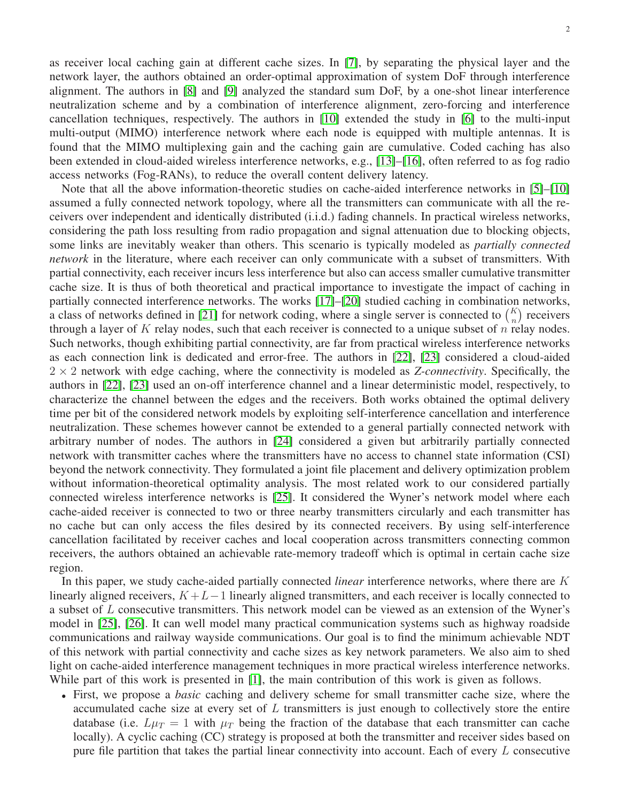as receiver local caching gain at different cache sizes. In [\[7\]](#page-20-9), by separating the physical layer and the network layer, the authors obtained an order-optimal approximation of system DoF through interference alignment. The authors in [\[8\]](#page-20-10) and [\[9\]](#page-20-11) analyzed the standard sum DoF, by a one-shot linear interference neutralization scheme and by a combination of interference alignment, zero-forcing and interference cancellation techniques, respectively. The authors in [\[10\]](#page-20-4) extended the study in [\[6\]](#page-20-5) to the multi-input multi-output (MIMO) interference network where each node is equipped with multiple antennas. It is found that the MIMO multiplexing gain and the caching gain are cumulative. Coded caching has also been extended in cloud-aided wireless interference networks, e.g., [\[13\]](#page-20-12)–[\[16\]](#page-21-0), often referred to as fog radio access networks (Fog-RANs), to reduce the overall content delivery latency.

Note that all the above information-theoretic studies on cache-aided interference networks in [\[5\]](#page-20-3)–[\[10\]](#page-20-4) assumed a fully connected network topology, where all the transmitters can communicate with all the receivers over independent and identically distributed (i.i.d.) fading channels. In practical wireless networks, considering the path loss resulting from radio propagation and signal attenuation due to blocking objects, some links are inevitably weaker than others. This scenario is typically modeled as *partially connected network* in the literature, where each receiver can only communicate with a subset of transmitters. With partial connectivity, each receiver incurs less interference but also can access smaller cumulative transmitter cache size. It is thus of both theoretical and practical importance to investigate the impact of caching in partially connected interference networks. The works [\[17\]](#page-21-1)–[\[20\]](#page-21-2) studied caching in combination networks, a class of networks defined in [\[21\]](#page-21-3) for network coding, where a single server is connected to  $\binom{K}{n}$  receivers through a layer of  $K$  relay nodes, such that each receiver is connected to a unique subset of  $n$  relay nodes. Such networks, though exhibiting partial connectivity, are far from practical wireless interference networks as each connection link is dedicated and error-free. The authors in [\[22\]](#page-21-4), [\[23\]](#page-21-5) considered a cloud-aided  $2 \times 2$  network with edge caching, where the connectivity is modeled as *Z-connectivity*. Specifically, the authors in [\[22\]](#page-21-4), [\[23\]](#page-21-5) used an on-off interference channel and a linear deterministic model, respectively, to characterize the channel between the edges and the receivers. Both works obtained the optimal delivery time per bit of the considered network models by exploiting self-interference cancellation and interference neutralization. These schemes however cannot be extended to a general partially connected network with arbitrary number of nodes. The authors in [\[24\]](#page-21-6) considered a given but arbitrarily partially connected network with transmitter caches where the transmitters have no access to channel state information (CSI) beyond the network connectivity. They formulated a joint file placement and delivery optimization problem without information-theoretical optimality analysis. The most related work to our considered partially connected wireless interference networks is [\[25\]](#page-21-7). It considered the Wyner's network model where each cache-aided receiver is connected to two or three nearby transmitters circularly and each transmitter has no cache but can only access the files desired by its connected receivers. By using self-interference cancellation facilitated by receiver caches and local cooperation across transmitters connecting common receivers, the authors obtained an achievable rate-memory tradeoff which is optimal in certain cache size region.

In this paper, we study cache-aided partially connected *linear* interference networks, where there are K linearly aligned receivers,  $K + L - 1$  linearly aligned transmitters, and each receiver is locally connected to a subset of L consecutive transmitters. This network model can be viewed as an extension of the Wyner's model in [\[25\]](#page-21-7), [\[26\]](#page-21-8). It can well model many practical communication systems such as highway roadside communications and railway wayside communications. Our goal is to find the minimum achievable NDT of this network with partial connectivity and cache sizes as key network parameters. We also aim to shed light on cache-aided interference management techniques in more practical wireless interference networks. While part of this work is presented in [\[1\]](#page-20-8), the main contribution of this work is given as follows.

• First, we propose a *basic* caching and delivery scheme for small transmitter cache size, where the accumulated cache size at every set of  $L$  transmitters is just enough to collectively store the entire database (i.e.  $L\mu_T = 1$  with  $\mu_T$  being the fraction of the database that each transmitter can cache locally). A cyclic caching (CC) strategy is proposed at both the transmitter and receiver sides based on pure file partition that takes the partial linear connectivity into account. Each of every L consecutive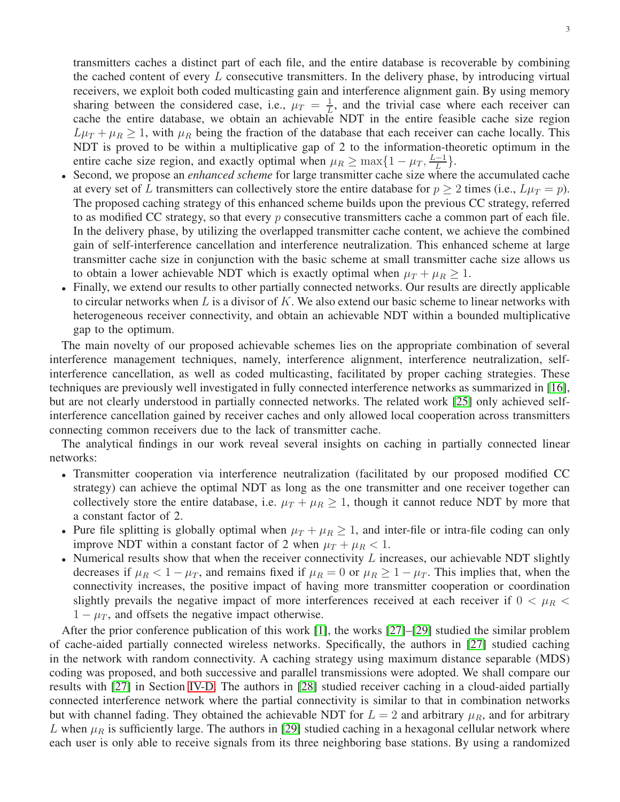transmitters caches a distinct part of each file, and the entire database is recoverable by combining the cached content of every  $L$  consecutive transmitters. In the delivery phase, by introducing virtual receivers, we exploit both coded multicasting gain and interference alignment gain. By using memory sharing between the considered case, i.e.,  $\mu_T = \frac{1}{L}$  $\frac{1}{L}$ , and the trivial case where each receiver can cache the entire database, we obtain an achievable NDT in the entire feasible cache size region  $L\mu_T + \mu_R \geq 1$ , with  $\mu_R$  being the fraction of the database that each receiver can cache locally. This NDT is proved to be within a multiplicative gap of 2 to the information-theoretic optimum in the entire cache size region, and exactly optimal when  $\mu_R \ge \max\{1 - \mu_T, \frac{L-1}{L}\}$  $\frac{-1}{L}\big\}.$ 

- Second, we propose an *enhanced scheme* for large transmitter cache size where the accumulated cache at every set of L transmitters can collectively store the entire database for  $p \ge 2$  times (i.e.,  $L\mu_T = p$ ). The proposed caching strategy of this enhanced scheme builds upon the previous CC strategy, referred to as modified CC strategy, so that every  $p$  consecutive transmitters cache a common part of each file. In the delivery phase, by utilizing the overlapped transmitter cache content, we achieve the combined gain of self-interference cancellation and interference neutralization. This enhanced scheme at large transmitter cache size in conjunction with the basic scheme at small transmitter cache size allows us to obtain a lower achievable NDT which is exactly optimal when  $\mu_T + \mu_R \geq 1$ .
- Finally, we extend our results to other partially connected networks. Our results are directly applicable to circular networks when L is a divisor of K. We also extend our basic scheme to linear networks with heterogeneous receiver connectivity, and obtain an achievable NDT within a bounded multiplicative gap to the optimum.

The main novelty of our proposed achievable schemes lies on the appropriate combination of several interference management techniques, namely, interference alignment, interference neutralization, selfinterference cancellation, as well as coded multicasting, facilitated by proper caching strategies. These techniques are previously well investigated in fully connected interference networks as summarized in [\[16\]](#page-21-0), but are not clearly understood in partially connected networks. The related work [\[25\]](#page-21-7) only achieved selfinterference cancellation gained by receiver caches and only allowed local cooperation across transmitters connecting common receivers due to the lack of transmitter cache.

The analytical findings in our work reveal several insights on caching in partially connected linear networks:

- Transmitter cooperation via interference neutralization (facilitated by our proposed modified CC strategy) can achieve the optimal NDT as long as the one transmitter and one receiver together can collectively store the entire database, i.e.  $\mu_T + \mu_R \ge 1$ , though it cannot reduce NDT by more that a constant factor of 2.
- Pure file splitting is globally optimal when  $\mu_T + \mu_R \ge 1$ , and inter-file or intra-file coding can only improve NDT within a constant factor of 2 when  $\mu_T + \mu_R < 1$ .
- Numerical results show that when the receiver connectivity  $L$  increases, our achievable NDT slightly decreases if  $\mu_R < 1 - \mu_T$ , and remains fixed if  $\mu_R = 0$  or  $\mu_R \ge 1 - \mu_T$ . This implies that, when the connectivity increases, the positive impact of having more transmitter cooperation or coordination slightly prevails the negative impact of more interferences received at each receiver if  $0 < \mu_R <$  $1 - \mu_T$ , and offsets the negative impact otherwise.

After the prior conference publication of this work [\[1\]](#page-20-8), the works [\[27\]](#page-21-9)–[\[29\]](#page-21-10) studied the similar problem of cache-aided partially connected wireless networks. Specifically, the authors in [\[27\]](#page-21-9) studied caching in the network with random connectivity. A caching strategy using maximum distance separable (MDS) coding was proposed, and both successive and parallel transmissions were adopted. We shall compare our results with [\[27\]](#page-21-9) in Section [IV-D.](#page-15-0) The authors in [\[28\]](#page-21-11) studied receiver caching in a cloud-aided partially connected interference network where the partial connectivity is similar to that in combination networks but with channel fading. They obtained the achievable NDT for  $L = 2$  and arbitrary  $\mu_R$ , and for arbitrary L when  $\mu_R$  is sufficiently large. The authors in [\[29\]](#page-21-10) studied caching in a hexagonal cellular network where each user is only able to receive signals from its three neighboring base stations. By using a randomized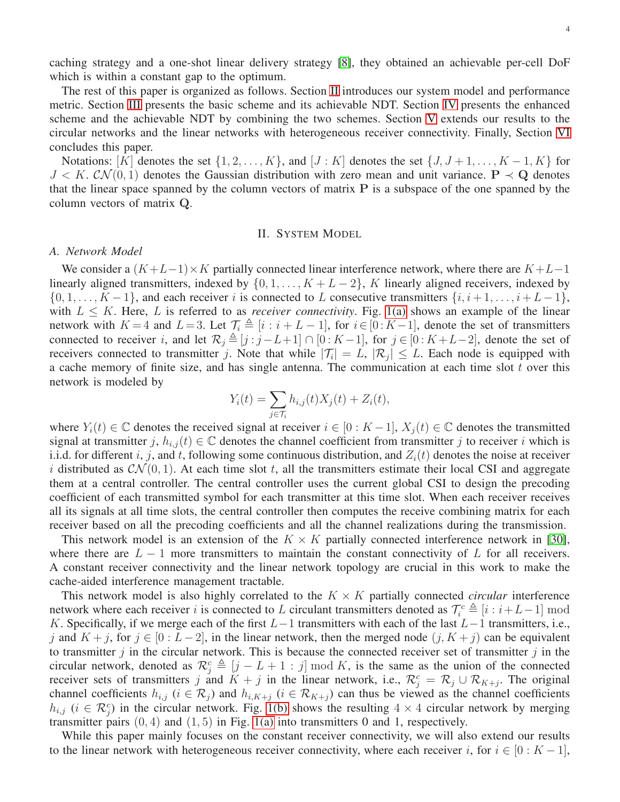caching strategy and a one-shot linear delivery strategy [\[8\]](#page-20-10), they obtained an achievable per-cell DoF which is within a constant gap to the optimum.

The rest of this paper is organized as follows. Section [II](#page-3-0) introduces our system model and performance metric. Section [III](#page-5-0) presents the basic scheme and its achievable NDT. Section [IV](#page-10-0) presents the enhanced scheme and the achievable NDT by combining the two schemes. Section [V](#page-16-0) extends our results to the circular networks and the linear networks with heterogeneous receiver connectivity. Finally, Section [VI](#page-17-0) concludes this paper.

Notations: [K] denotes the set  $\{1, 2, \ldots, K\}$ , and  $[J:K]$  denotes the set  $\{J, J+1, \ldots, K-1, K\}$  for  $J < K$ .  $CN(0, 1)$  denotes the Gaussian distribution with zero mean and unit variance.  $P \prec Q$  denotes that the linear space spanned by the column vectors of matrix  $P$  is a subspace of the one spanned by the column vectors of matrix Q.

## II. SYSTEM MODEL

#### <span id="page-3-0"></span>*A. Network Model*

We consider a  $(K+L-1)\times K$  partially connected linear interference network, where there are  $K+L-1$ linearly aligned transmitters, indexed by  $\{0, 1, \ldots, K + L - 2\}$ , K linearly aligned receivers, indexed by  $\{0, 1, \ldots, K-1\}$ , and each receiver i is connected to L consecutive transmitters  $\{i, i+1, \ldots, i+L-1\}$ , with  $L \leq K$ . Here, L is referred to as *receiver connectivity*. Fig. [1\(a\)](#page-4-0) shows an example of the linear network with  $K = 4$  and  $L = 3$ . Let  $\mathcal{T}_i \triangleq [i : i + L - 1]$ , for  $i \in [0 : K - 1]$ , denote the set of transmitters connected to receiver i, and let  $\mathcal{R}_j \triangleq [j : j - L + 1] \cap [0 : K - 1]$ , for  $j \in [0 : K + L - 2]$ , denote the set of receivers connected to transmitter j. Note that while  $|\mathcal{T}_i| = L$ ,  $|\mathcal{R}_j| \leq L$ . Each node is equipped with a cache memory of finite size, and has single antenna. The communication at each time slot  $t$  over this network is modeled by

$$
Y_i(t) = \sum_{j \in \mathcal{T}_i} h_{i,j}(t) X_j(t) + Z_i(t),
$$

where  $Y_i(t) \in \mathbb{C}$  denotes the received signal at receiver  $i \in [0: K-1]$ ,  $X_i(t) \in \mathbb{C}$  denotes the transmitted signal at transmitter j,  $h_{i,j}(t) \in \mathbb{C}$  denotes the channel coefficient from transmitter j to receiver i which is i.i.d. for different i, j, and t, following some continuous distribution, and  $Z_i(t)$  denotes the noise at receiver i distributed as  $\mathcal{CN}(0, 1)$ . At each time slot t, all the transmitters estimate their local CSI and aggregate them at a central controller. The central controller uses the current global CSI to design the precoding coefficient of each transmitted symbol for each transmitter at this time slot. When each receiver receives all its signals at all time slots, the central controller then computes the receive combining matrix for each receiver based on all the precoding coefficients and all the channel realizations during the transmission.

This network model is an extension of the  $K \times K$  partially connected interference network in [\[30\]](#page-21-12), where there are  $L - 1$  more transmitters to maintain the constant connectivity of L for all receivers. A constant receiver connectivity and the linear network topology are crucial in this work to make the cache-aided interference management tractable.

This network model is also highly correlated to the  $K \times K$  partially connected *circular* interference network where each receiver i is connected to L circulant transmitters denoted as  $\mathcal{T}_i^c \triangleq [i : i+L-1] \text{ mod } 1$ K. Specifically, if we merge each of the first  $L-1$  transmitters with each of the last  $L-1$  transmitters, i.e., j and  $K + j$ , for  $j \in [0: L - 2]$ , in the linear network, then the merged node  $(j, K + j)$  can be equivalent to transmitter  $j$  in the circular network. This is because the connected receiver set of transmitter  $j$  in the circular network, denoted as  $\mathcal{R}_j^c \triangleq [j - L + 1 : j] \bmod K$ , is the same as the union of the connected receiver sets of transmitters j and  $K + j$  in the linear network, i.e.,  $\mathcal{R}_j^c = \mathcal{R}_j \cup \mathcal{R}_{K+j}$ . The original channel coefficients  $h_{i,j}$  ( $i \in \mathcal{R}_j$ ) and  $h_{i,K+j}$  ( $i \in \mathcal{R}_{K+j}$ ) can thus be viewed as the channel coefficients  $h_{i,j}$  ( $i \in \mathcal{R}_j^c$ ) in the circular network. Fig. [1\(b\)](#page-4-0) shows the resulting  $4 \times 4$  circular network by merging transmitter pairs  $(0, 4)$  and  $(1, 5)$  in Fig. [1\(a\)](#page-4-0) into transmitters 0 and 1, respectively.

While this paper mainly focuses on the constant receiver connectivity, we will also extend our results to the linear network with heterogeneous receiver connectivity, where each receiver i, for  $i \in [0:K-1]$ ,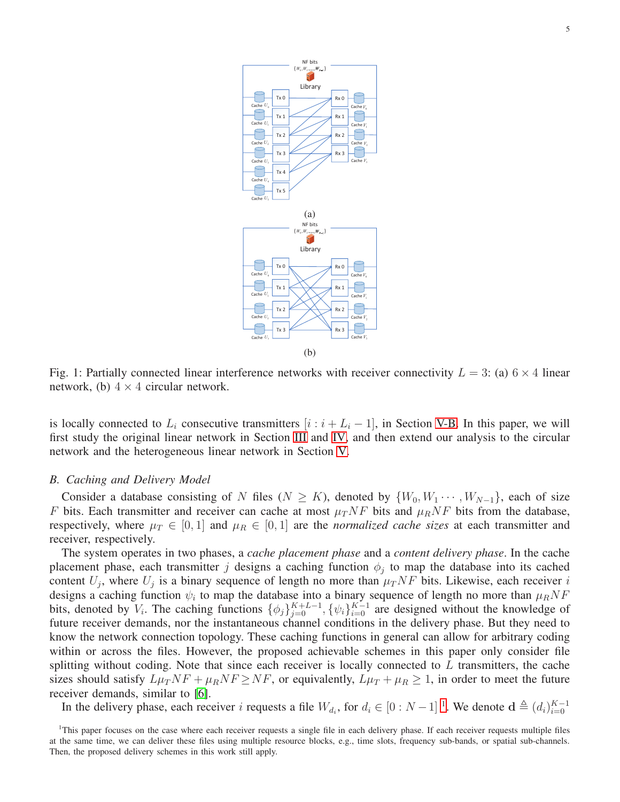<span id="page-4-0"></span>

Fig. 1: Partially connected linear interference networks with receiver connectivity  $L = 3$ : (a)  $6 \times 4$  linear network, (b)  $4 \times 4$  circular network.

is locally connected to  $L_i$  consecutive transmitters  $[i : i + L_i - 1]$ , in Section [V-B.](#page-16-1) In this paper, we will first study the original linear network in Section [III](#page-5-0) and [IV,](#page-10-0) and then extend our analysis to the circular network and the heterogeneous linear network in Section [V.](#page-16-0)

#### *B. Caching and Delivery Model*

Consider a database consisting of N files ( $N \geq K$ ), denoted by  $\{W_0, W_1 \cdots, W_{N-1}\}$ , each of size F bits. Each transmitter and receiver can cache at most  $\mu_T N F$  bits and  $\mu_R N F$  bits from the database, respectively, where  $\mu_T \in [0,1]$  and  $\mu_R \in [0,1]$  are the *normalized cache sizes* at each transmitter and receiver, respectively.

The system operates in two phases, a *cache placement phase* and a *content delivery phase*. In the cache placement phase, each transmitter j designs a caching function  $\phi_j$  to map the database into its cached content  $U_j$ , where  $U_j$  is a binary sequence of length no more than  $\mu_T N F$  bits. Likewise, each receiver i designs a caching function  $\psi_i$  to map the database into a binary sequence of length no more than  $\mu_R N F$ bits, denoted by  $V_i$ . The caching functions  $\{\phi_j\}_{j=0}^{K+L-1}$ ,  $\{\psi_i\}_{i=0}^{K-1}$  are designed without the knowledge of future receiver demands, nor the instantaneous channel conditions in the delivery phase. But they need to know the network connection topology. These caching functions in general can allow for arbitrary coding within or across the files. However, the proposed achievable schemes in this paper only consider file splitting without coding. Note that since each receiver is locally connected to  $L$  transmitters, the cache sizes should satisfy  $L\mu_TNF + \mu_RNF \ge NF$ , or equivalently,  $L\mu_T + \mu_R \ge 1$ , in order to meet the future receiver demands, similar to [\[6\]](#page-20-5).

In the delivery phase, each receiver i requests a file  $W_{d_i}$ , for  $d_i \in [0:N-1]$  $d_i \in [0:N-1]$  $d_i \in [0:N-1]$ <sup>1</sup>. We denote  $\mathbf{d} \triangleq (d_i)_{i=0}^{K-1}$  $i=0$ 

<span id="page-4-1"></span><sup>&</sup>lt;sup>1</sup>This paper focuses on the case where each receiver requests a single file in each delivery phase. If each receiver requests multiple files at the same time, we can deliver these files using multiple resource blocks, e.g., time slots, frequency sub-bands, or spatial sub-channels. Then, the proposed delivery schemes in this work still apply.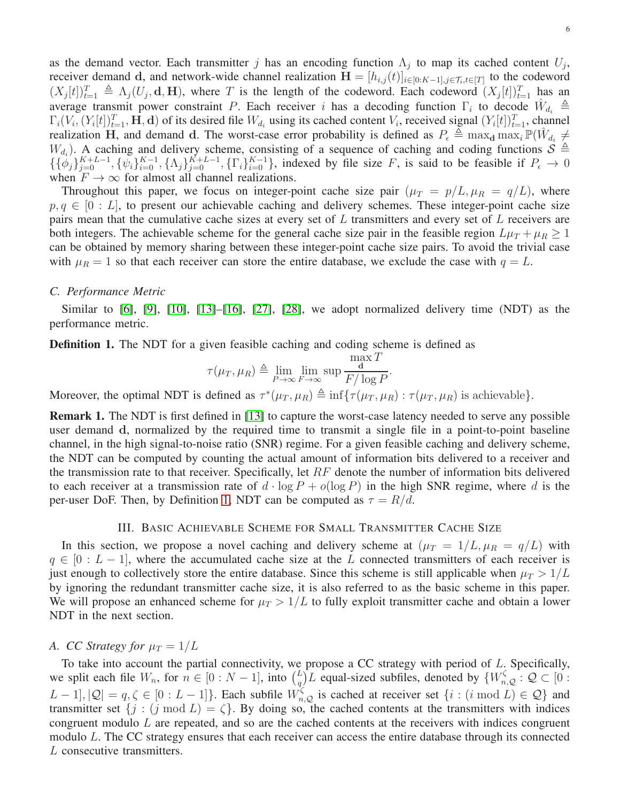as the demand vector. Each transmitter j has an encoding function  $\Lambda_j$  to map its cached content  $U_j$ , receiver demand d, and network-wide channel realization  $\mathbf{H} = [h_{i,j}(t)]_{i \in [0:K-1],j \in \mathcal{T}_i,t \in [T]}$  to the codeword  $(X_j[t])_{t=1}^T \triangleq \Lambda_j(U_j, \mathbf{d}, \mathbf{H})$ , where T is the length of the codeword. Each codeword  $(X_j[t])_{t=1}^T$  has an average transmit power constraint P. Each receiver i has a decoding function  $\Gamma_i$  to decode  $\hat{W}_{d_i} \triangleq$  $\Gamma_i(V_i, (Y_i[t])_{t=1}^T, \mathbf{H}, \mathbf{d})$  of its desired file  $W_{d_i}$  using its cached content  $V_i$ , received signal  $(Y_i[t])_{t=1}^T$ , channel realization H, and demand d. The worst-case error probability is defined as  $P_{\epsilon} \triangleq \max_{\mathbf{d}} \max_{i} \mathbb{P}(\hat{W}_{d_i} \neq$  $W_{d_i}$ ). A caching and delivery scheme, consisting of a sequence of caching and coding functions  $S \triangleq$  $\{\{\phi_j\}_{j=0}^{K+L-1}, \{\psi_i\}_{i=0}^{K-1}, \{\Lambda_j\}_{j=0}^{K+L-1}, \{\Gamma_i\}_{i=0}^{K-1}\}$ , indexed by file size F, is said to be feasible if  $P_{\epsilon} \to 0$ when  $F \to \infty$  for almost all channel realizations.

Throughout this paper, we focus on integer-point cache size pair  $(\mu_T = p/L, \mu_R = q/L)$ , where  $p, q \in [0 : L]$ , to present our achievable caching and delivery schemes. These integer-point cache size pairs mean that the cumulative cache sizes at every set of L transmitters and every set of L receivers are both integers. The achievable scheme for the general cache size pair in the feasible region  $L\mu_T + \mu_R \geq 1$ can be obtained by memory sharing between these integer-point cache size pairs. To avoid the trivial case with  $\mu_R = 1$  so that each receiver can store the entire database, we exclude the case with  $q = L$ .

#### *C. Performance Metric*

Similar to [\[6\]](#page-20-5), [\[9\]](#page-20-11), [\[10\]](#page-20-4), [\[13\]](#page-20-12)–[\[16\]](#page-21-0), [\[27\]](#page-21-9), [\[28\]](#page-21-11), we adopt normalized delivery time (NDT) as the performance metric.

<span id="page-5-1"></span>**Definition 1.** The NDT for a given feasible caching and coding scheme is defined as

$$
\tau(\mu_T, \mu_R) \triangleq \lim_{P \to \infty} \lim_{F \to \infty} \sup \frac{\max T}{F/\log P}.
$$

Moreover, the optimal NDT is defined as  $\tau^*(\mu_T, \mu_R) \triangleq \inf \{ \tau(\mu_T, \mu_R) : \tau(\mu_T, \mu_R)$  is achievable.

<span id="page-5-2"></span>**Remark 1.** The NDT is first defined in [\[13\]](#page-20-12) to capture the worst-case latency needed to serve any possible user demand d, normalized by the required time to transmit a single file in a point-to-point baseline channel, in the high signal-to-noise ratio (SNR) regime. For a given feasible caching and delivery scheme, the NDT can be computed by counting the actual amount of information bits delivered to a receiver and the transmission rate to that receiver. Specifically, let  $RF$  denote the number of information bits delivered to each receiver at a transmission rate of  $d \cdot \log P + o(\log P)$  in the high SNR regime, where d is the per-user DoF. Then, by Definition [1,](#page-5-1) NDT can be computed as  $\tau = R/d$ .

#### III. BASIC ACHIEVABLE SCHEME FOR SMALL TRANSMITTER CACHE SIZE

<span id="page-5-0"></span>In this section, we propose a novel caching and delivery scheme at  $(\mu_T = 1/L, \mu_R = q/L)$  with  $q \in [0 : L - 1]$ , where the accumulated cache size at the L connected transmitters of each receiver is just enough to collectively store the entire database. Since this scheme is still applicable when  $\mu_T > 1/L$ by ignoring the redundant transmitter cache size, it is also referred to as the basic scheme in this paper. We will propose an enhanced scheme for  $\mu_T > 1/L$  to fully exploit transmitter cache and obtain a lower NDT in the next section.

## <span id="page-5-3"></span>*A. CC Strategy for*  $\mu_T = 1/L$

To take into account the partial connectivity, we propose a CC strategy with period of L. Specifically, we split each file  $W_n$ , for  $n \in [0:N-1]$ , into  $\binom{L}{a}$  $\binom{L}{q}$ L equal-sized subfiles, denoted by  $\{W_{n,Q}^{\zeta} : Q \subset [0] \}$  $[L-1], |Q| = q, \zeta \in [0:L-1]$ . Each subfile  $W_{n,Q}^{\zeta}$  is cached at receiver set  $\{i : (i \bmod L) \in Q\}$  and transmitter set  $\{j : (j \mod L) = \zeta\}$ . By doing so, the cached contents at the transmitters with indices congruent modulo L are repeated, and so are the cached contents at the receivers with indices congruent modulo L. The CC strategy ensures that each receiver can access the entire database through its connected L consecutive transmitters.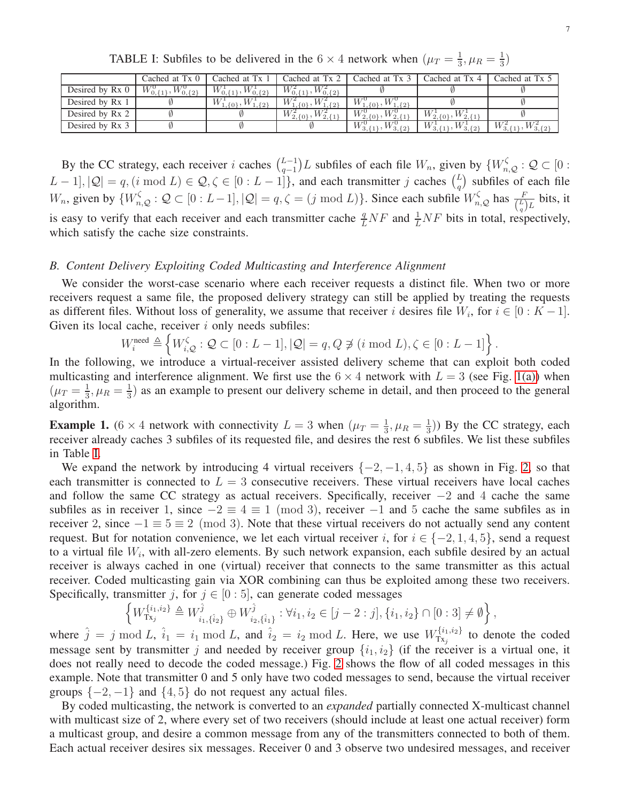|  |  |  |  |  | TABLE I: Subfiles to be delivered in the 6 $\times$ 4 network when $(\mu_T = \frac{1}{3}, \mu_R = \frac{1}{3})$                                                                                                                |  |  |  |  |
|--|--|--|--|--|--------------------------------------------------------------------------------------------------------------------------------------------------------------------------------------------------------------------------------|--|--|--|--|
|  |  |  |  |  | $1 0 1 1 0 0 0 1 1 0 1 1 0 1 1 0 0 0 1 1 0 0 0 1 1 0 0 1 1 0 1 1 0 1 1 1 0 1 1 1 0 1 1 1 0 1 1 1 0 1 1 1 0 1 1 1 0 1 1 1 0 1 1 1 0 1 1 1 0 1 1 1 0 1 1 1 0 1 1 1 0 1 1 1 0 1 1 1 0 1 1 1 0 1 1 1 0 1 1 1 0 1 1 1 0 1 1 1 0 1 $ |  |  |  |  |

<span id="page-6-0"></span>

|                 | Cached at Tx 0                     | Cached at Tx 1                      | Cached at Tx 2              | Cached at Tx                                | Cached at Tx 4               | Cached at Tx 5                 |
|-----------------|------------------------------------|-------------------------------------|-----------------------------|---------------------------------------------|------------------------------|--------------------------------|
| Desired by Rx 0 | $W^0_{0,\{1\}}$<br>$W_{0,\{2\}}^0$ | $W_{0}^1{}_{11}$<br>$W^1_{0,\{2\}}$ | $W_0^2$<br>$^{V}0.52$       |                                             |                              |                                |
| Desired by Rx 1 |                                    | $W_1$<br>$_{1.40}$ , $W^1$          | $W^2$<br>ا ⊙ل∟<br>$\{0\},\$ | $W_{1}$<br>$_{1,\{0\}},W_{1,\{2\}}^{\circ}$ |                              |                                |
| Desired by Rx 2 |                                    |                                     | $W^2_{2,\{0\}},$            | $W_{2,\{0\}}^{\circ}$ ,                     | $W_{2.01}^1$ ,<br>$W_{2,11}$ |                                |
| Desired by Rx 3 |                                    |                                     |                             | $W_3$<br>$W^0_{3,\{2\}}$                    | $W_2$<br>$W^1_{3,\{2\}}$     | $W_{3,1}^2$<br>$W^2_{3,\{2\}}$ |

By the CC strategy, each receiver i caches  $\binom{L-1}{q-1}$  $_{q-1}^{L-1}$ ) L subfiles of each file  $W_n$ , given by { $W_{n,Q}^{\zeta}$  :  $\mathcal{Q} \subset [0:1]$  $[L-1], |Q| = q$ ,  $(i \mod L) \in Q$ ,  $\zeta \in [0 : L-1]$ , and each transmitter j caches  $\binom{L}{q}$  $\binom{L}{q}$  subfiles of each file  $W_n$ , given by  $\{W_{n,Q}^{\zeta} : Q \subset [0 : L-1], |Q| = q, \zeta = (j \mod L)\}\.$  Since each subfile  $W_{n,Q}^{\zeta}$  has  $\frac{F}{\binom{L}{q}L}$  bits, it is easy to verify that each receiver and each transmitter cache  $\frac{q}{L}NF$  and  $\frac{1}{L}NF$  bits in total, respectively, which satisfy the cache size constraints.

#### <span id="page-6-2"></span>*B. Content Delivery Exploiting Coded Multicasting and Interference Alignment*

We consider the worst-case scenario where each receiver requests a distinct file. When two or more receivers request a same file, the proposed delivery strategy can still be applied by treating the requests as different files. Without loss of generality, we assume that receiver i desires file  $W_i$ , for  $i \in [0:K-1]$ . Given its local cache, receiver  $i$  only needs subfiles:

$$
W_i^{\text{need}} \triangleq \left\{ W_{i,Q}^{\zeta} : Q \subset [0 : L - 1], |Q| = q, Q \not\ni (i \bmod L), \zeta \in [0 : L - 1] \right\}.
$$

In the following, we introduce a virtual-receiver assisted delivery scheme that can exploit both coded multicasting and interference alignment. We first use the  $6 \times 4$  network with  $L = 3$  (see Fig. [1\(a\)\)](#page-4-0) when  $(\mu_T = \frac{1}{3})$  $\frac{1}{3}, \mu_R = \frac{1}{3}$  $\frac{1}{3}$ ) as an example to present our delivery scheme in detail, and then proceed to the general algorithm.

<span id="page-6-1"></span>**Example 1.** (6 × 4 network with connectivity  $L = 3$  when  $(\mu_T = \frac{1}{3})$  $\frac{1}{3}, \mu_R = \frac{1}{3}$  $\frac{1}{3}$ )) By the CC strategy, each receiver already caches 3 subfiles of its requested file, and desires the rest 6 subfiles. We list these subfiles in Table [I.](#page-6-0)

We expand the network by introducing 4 virtual receivers  $\{-2, -1, 4, 5\}$  as shown in Fig. [2,](#page-7-0) so that each transmitter is connected to  $L = 3$  consecutive receivers. These virtual receivers have local caches and follow the same CC strategy as actual receivers. Specifically, receiver −2 and 4 cache the same subfiles as in receiver 1, since  $-2 \equiv 4 \equiv 1 \pmod{3}$ , receiver  $-1$  and 5 cache the same subfiles as in receiver 2, since  $-1 \equiv 5 \equiv 2 \pmod{3}$ . Note that these virtual receivers do not actually send any content request. But for notation convenience, we let each virtual receiver i, for  $i \in \{-2, 1, 4, 5\}$ , send a request to a virtual file  $W_i$ , with all-zero elements. By such network expansion, each subfile desired by an actual receiver is always cached in one (virtual) receiver that connects to the same transmitter as this actual receiver. Coded multicasting gain via XOR combining can thus be exploited among these two receivers. Specifically, transmitter j, for  $j \in [0:5]$ , can generate coded messages

$$
\left\{ W_{\mathsf{Tx}_j}^{\{i_1,i_2\}} \triangleq W_{i_1,\{\hat{i}_2\}}^{\hat{j}} \oplus W_{i_2,\{\hat{i}_1\}}^{\hat{j}} : \forall i_1, i_2 \in [j-2:j], \{i_1, i_2\} \cap [0:3] \neq \emptyset \right\},\
$$

where  $\hat{j} = j \mod L$ ,  $\hat{i}_1 = i_1 \mod L$ , and  $\hat{i}_2 = i_2 \mod L$ . Here, we use  $W_{Tx_i}^{\{i_1, i_2\}}$  $\begin{bmatrix} \mathcal{U}^{1,1,2} \\ Tx_j \end{bmatrix}$  to denote the coded message sent by transmitter j and needed by receiver group  $\{i_1, i_2\}$  (if the receiver is a virtual one, it does not really need to decode the coded message.) Fig. [2](#page-7-0) shows the flow of all coded messages in this example. Note that transmitter 0 and 5 only have two coded messages to send, because the virtual receiver groups  $\{-2,-1\}$  and  $\{4,5\}$  do not request any actual files.

By coded multicasting, the network is converted to an *expanded* partially connected X-multicast channel with multicast size of 2, where every set of two receivers (should include at least one actual receiver) form a multicast group, and desire a common message from any of the transmitters connected to both of them. Each actual receiver desires six messages. Receiver 0 and 3 observe two undesired messages, and receiver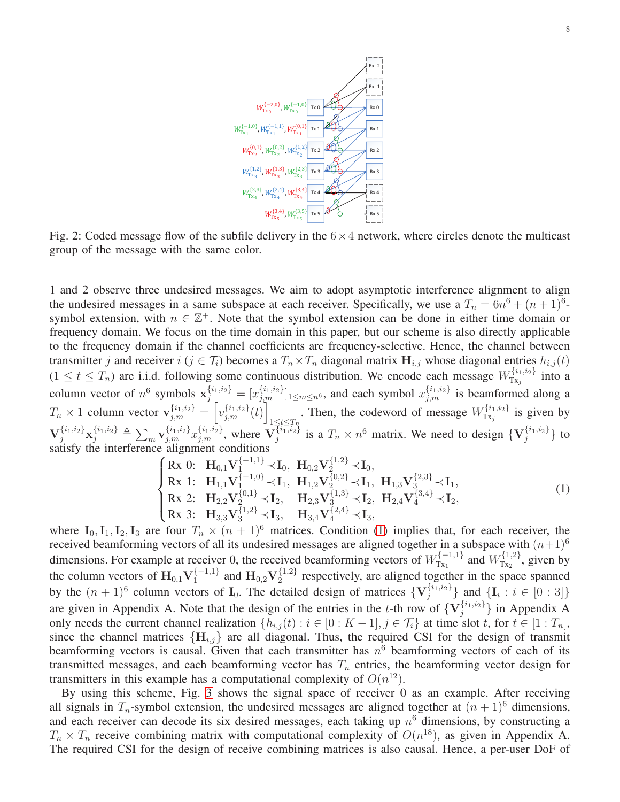<span id="page-7-0"></span>

Fig. 2: Coded message flow of the subfile delivery in the  $6 \times 4$  network, where circles denote the multicast group of the message with the same color.

1 and 2 observe three undesired messages. We aim to adopt asymptotic interference alignment to align the undesired messages in a same subspace at each receiver. Specifically, we use a  $T_n = 6n^6 + (n+1)^6$ symbol extension, with  $n \in \mathbb{Z}^+$ . Note that the symbol extension can be done in either time domain or frequency domain. We focus on the time domain in this paper, but our scheme is also directly applicable to the frequency domain if the channel coefficients are frequency-selective. Hence, the channel between transmitter j and receiver  $i$  ( $j \in \mathcal{T}_i$ ) becomes a  $T_n \times T_n$  diagonal matrix  $H_{i,j}$  whose diagonal entries  $h_{i,j}(t)$  $(1 \le t \le T_n)$  are i.i.d. following some continuous distribution. We encode each message  $W_{T_{X_i}}^{\{i_1,i_2\}}$  into a  $Tx_j$ column vector of  $n^6$  symbols  $\mathbf{x}_{j}^{\{i_1,i_2\}} = [x_{j,m}^{\{i_1,i_2\}}]_{1 \le m \le n^6}$ , and each symbol  $x_{j,m}^{\{i_1,i_2\}}$  is beamformed along a  $T_n \times 1$  column vector  $\mathbf{v}_{j,m}^{\{i_1,i_2\}} = \left[ v_{j,m}^{\{i_1,i_2\}}(t) \right]$  $\sum_{1 \leq t \leq T_n}$ . Then, the codeword of message  $W_{Tx_j}^{\{i_1,i_2\}}$  $T_{x_j}^{\{i_1,i_2\}}$  is given by  ${\bf V}_j^{\{i_1,i_2\}}{\bf x}_j^{\{i_1,i_2\}}\triangleq\sum_m {\bf v}_{j,m}^{\{i_1,i_2\}}x_{j,m}^{\{i_1,i_2\}},$  where  ${\bf V}_j^{\{i_1,i_2\}}$  $\{i_1, i_2\}$  is a  $T_n \times n^6$  matrix. We need to design  $\{V_j^{\{i_1, i_2\}}\}$  $\{ \begin{array}{c} \{11, 22\} \\ j \end{array} \}$  to satisfy the interference alignment conditions

<span id="page-7-1"></span>
$$
\begin{cases}\n\text{Rx } 0: \quad \mathbf{H}_{0,1} \mathbf{V}_{1}^{\{-1,1\}} \prec \mathbf{I}_{0}, \quad \mathbf{H}_{0,2} \mathbf{V}_{2}^{\{1,2\}} \prec \mathbf{I}_{0}, \\
\text{Rx } 1: \quad \mathbf{H}_{1,1} \mathbf{V}_{1}^{\{-1,0\}} \prec \mathbf{I}_{1}, \quad \mathbf{H}_{1,2} \mathbf{V}_{2}^{\{0,2\}} \prec \mathbf{I}_{1}, \quad \mathbf{H}_{1,3} \mathbf{V}_{3}^{\{2,3\}} \prec \mathbf{I}_{1}, \\
\text{Rx } 2: \quad \mathbf{H}_{2,2} \mathbf{V}_{2}^{\{0,1\}} \prec \mathbf{I}_{2}, \quad \mathbf{H}_{2,3} \mathbf{V}_{3}^{\{1,3\}} \prec \mathbf{I}_{2}, \quad \mathbf{H}_{2,4} \mathbf{V}_{4}^{\{3,4\}} \prec \mathbf{I}_{2}, \\
\text{Rx } 3: \quad \mathbf{H}_{3,3} \mathbf{V}_{3}^{\{1,2\}} \prec \mathbf{I}_{3}, \quad \mathbf{H}_{3,4} \mathbf{V}_{4}^{\{2,4\}} \prec \mathbf{I}_{3},\n\end{cases} (1)
$$

where  $I_0, I_1, I_2, I_3$  are four  $T_n \times (n+1)^6$  matrices. Condition [\(1\)](#page-7-1) implies that, for each receiver, the received beamforming vectors of all its undesired messages are aligned together in a subspace with  $(n+1)^6$ dimensions. For example at receiver 0, the received beamforming vectors of  $W_{\text{Tx}_1}^{\{-1,1\}}$  $W_{\text{Tx}_1}^{\{-1,1\}}$  and  $W_{\text{Tx}_2}^{\{1,2\}}$  $T_{\text{X}_2}^{\{1,2\}}$ , given by the column vectors of  $H_{0,1}V_1^{\{-1,1\}}$  $\mathcal{H}_1^{\{-1,1\}}$  and  $\mathbf{H}_{0,2}\mathbf{V}_2^{\{1,2\}}$  $2^{1,2}$  respectively, are aligned together in the space spanned by the  $(n+1)^6$  column vectors of  $\mathbf{I}_0$ . The detailed design of matrices  $\{ \mathbf{V}_i^{\{i_1,i_2\}} \}$  $\{ \{i_1, i_2\} \}$  and  $\{ \mathbf{I}_i : i \in [0 : 3] \}$ are given in Appendix A. Note that the design of the entries in the t-th row of  $\{V_i^{\{i_1,i_2\}}\}$  $\{Y_i^{i_1,i_2}\}\$  in Appendix A only needs the current channel realization  $\{h_{i,j}(t) : i \in [0 : K - 1], j \in \mathcal{T}_i\}$  at time slot t, for  $t \in [1 : T_n]$ , since the channel matrices  ${H_{i,j}}$  are all diagonal. Thus, the required CSI for the design of transmit beamforming vectors is causal. Given that each transmitter has  $n<sup>6</sup>$  beamforming vectors of each of its transmitted messages, and each beamforming vector has  $T<sub>n</sub>$  entries, the beamforming vector design for transmitters in this example has a computational complexity of  $O(n^{12})$ .

By using this scheme, Fig. [3](#page-8-0) shows the signal space of receiver 0 as an example. After receiving all signals in  $T_n$ -symbol extension, the undesired messages are aligned together at  $(n + 1)^6$  dimensions, and each receiver can decode its six desired messages, each taking up  $n<sup>6</sup>$  dimensions, by constructing a  $T_n \times T_n$  receive combining matrix with computational complexity of  $O(n^{18})$ , as given in Appendix A. The required CSI for the design of receive combining matrices is also causal. Hence, a per-user DoF of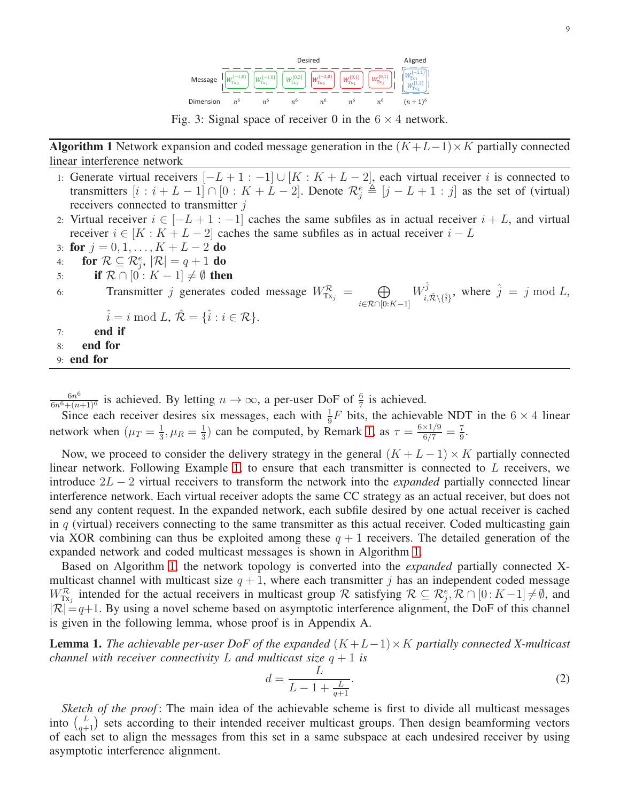

Fig. 3: Signal space of receiver 0 in the  $6 \times 4$  network.

<span id="page-8-1"></span><span id="page-8-0"></span>Algorithm 1 Network expansion and coded message generation in the  $(K+L-1)\times K$  partially connected linear interference network

- 1: Generate virtual receivers  $[-L+1:-1] \cup [K:K+L-2]$ , each virtual receiver i is connected to transmitters  $[i : i + L - 1] \cap [0 : K + L - 2]$ . Denote  $\mathcal{R}_j^e \triangleq [j - L + 1 : j]$  as the set of (virtual) receivers connected to transmitter j
- 2: Virtual receiver  $i \in [-L+1:-1]$  caches the same subfiles as in actual receiver  $i+L$ , and virtual receiver  $i \in [K : K + L - 2]$  caches the same subfiles as in actual receiver  $i - L$
- 3: for  $j = 0, 1, ..., K + L 2$  do
- 4: for  $\mathcal{R} \subseteq \mathcal{R}^e_j$ ,  $|\mathcal{R}| = q + 1$  do
- 5: if  $\mathcal{R} \cap [0:K-1] \neq \emptyset$  then

6: Transmitter *j* generates coded message 
$$
W_{Tx_j}^{\mathcal{R}} = \bigoplus_{i \in \mathcal{R} \cap [0:K-1]} W_{i, \hat{\mathcal{R}} \setminus \{\hat{i}\}},
$$
 where  $\hat{j} = j \mod L$ ,

$$
\hat{i} = i \bmod L, \ \hat{\mathcal{R}} = \{\hat{i} : i \in \mathcal{R}\}.
$$

- $7:$  end if
- 8: end for
- 9: end for

 $6n^6$  $\frac{6n^6}{6n^6 + (n+1)^6}$  is achieved. By letting  $n \to \infty$ , a per-user DoF of  $\frac{6}{7}$  is achieved.

Since each receiver desires six messages, each with  $\frac{1}{9}F$  bits, the achievable NDT in the 6 × 4 linear network when  $(\mu_T = \frac{1}{3})$  $\frac{1}{3}, \mu_R = \frac{1}{3}$  $\frac{1}{3}$ ) can be computed, by Remark [1,](#page-5-2) as  $\tau = \frac{6 \times 1/9}{6/7} = \frac{7}{9}$  $\frac{7}{9}$ .

Now, we proceed to consider the delivery strategy in the general  $(K + L - 1) \times K$  partially connected linear network. Following Example [1,](#page-6-1) to ensure that each transmitter is connected to L receivers, we introduce 2L − 2 virtual receivers to transform the network into the *expanded* partially connected linear interference network. Each virtual receiver adopts the same CC strategy as an actual receiver, but does not send any content request. In the expanded network, each subfile desired by one actual receiver is cached in  $q$  (virtual) receivers connecting to the same transmitter as this actual receiver. Coded multicasting gain via XOR combining can thus be exploited among these  $q + 1$  receivers. The detailed generation of the expanded network and coded multicast messages is shown in Algorithm [1.](#page-8-1)

Based on Algorithm [1,](#page-8-1) the network topology is converted into the *expanded* partially connected Xmulticast channel with multicast size  $q + 1$ , where each transmitter j has an independent coded message  $W_{Tx_j}^{\mathcal{R}}$  intended for the actual receivers in multicast group R satisfying  $\mathcal{R} \subseteq \mathcal{R}_j^e, \mathcal{R} \cap [0:K-1] \neq \emptyset$ , and  $|\mathcal{R}| = q+1$ . By using a novel scheme based on asymptotic interference alignment, the DoF of this channel is given in the following lemma, whose proof is in Appendix A.

<span id="page-8-3"></span>Lemma 1. *The achievable per-user DoF of the expanded* (K +L−1)×K *partially connected X-multicast channel with receiver connectivity*  $L$  *and multicast size*  $q + 1$  *is* 

<span id="page-8-2"></span>
$$
d = \frac{L}{L - 1 + \frac{L}{q+1}}.\tag{2}
$$

*Sketch of the proof*: The main idea of the achievable scheme is first to divide all multicast messages into  $\binom{L}{q+1}$  sets according to their intended receiver multicast groups. Then design beamforming vectors of each set to align the messages from this set in a same subspace at each undesired receiver by using asymptotic interference alignment.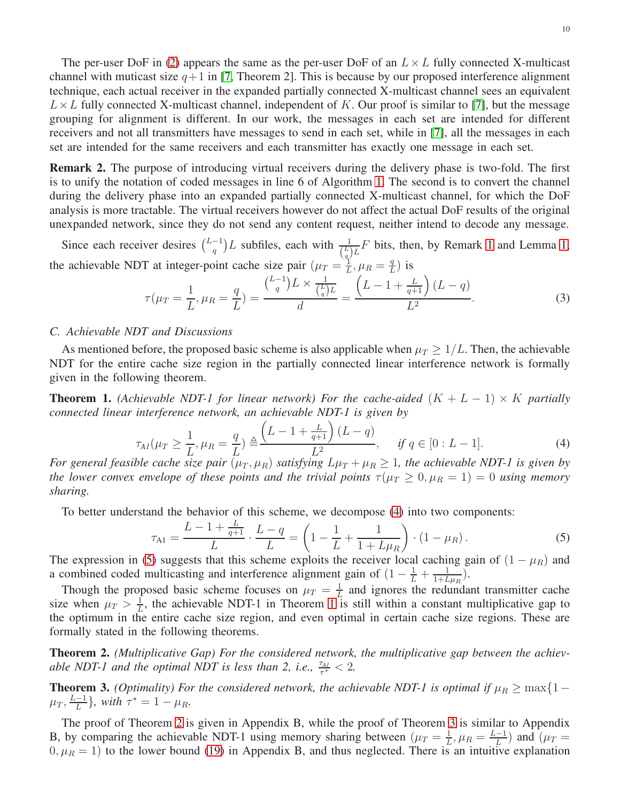The per-user DoF in [\(2\)](#page-8-2) appears the same as the per-user DoF of an  $L \times L$  fully connected X-multicast channel with muticast size  $q+1$  in [\[7,](#page-20-9) Theorem 2]. This is because by our proposed interference alignment technique, each actual receiver in the expanded partially connected X-multicast channel sees an equivalent  $L \times L$  fully connected X-multicast channel, independent of K. Our proof is similar to [\[7\]](#page-20-9), but the message grouping for alignment is different. In our work, the messages in each set are intended for different receivers and not all transmitters have messages to send in each set, while in [\[7\]](#page-20-9), all the messages in each set are intended for the same receivers and each transmitter has exactly one message in each set.

Remark 2. The purpose of introducing virtual receivers during the delivery phase is two-fold. The first is to unify the notation of coded messages in line 6 of Algorithm [1.](#page-8-1) The second is to convert the channel during the delivery phase into an expanded partially connected X-multicast channel, for which the DoF analysis is more tractable. The virtual receivers however do not affect the actual DoF results of the original unexpanded network, since they do not send any content request, neither intend to decode any message.

Since each receiver desires  $\binom{L-1}{a}$  $\left(\frac{1}{q}\right)L$  subfiles, each with  $\frac{1}{\left(\frac{L}{q}\right)L}F$  bits, then, by Remark [1](#page-5-2) and Lemma [1,](#page-8-3) the achievable NDT at integer-point cache size pair  $(\mu_T = \frac{1}{L})$  $\frac{q}{L}, \mu_R = \frac{q}{L}$  $\frac{q}{L}$ ) is

$$
\tau(\mu_T = \frac{1}{L}, \mu_R = \frac{q}{L}) = \frac{\binom{L-1}{q}L \times \frac{1}{\binom{L}{q}L}}{d} = \frac{\left(L - 1 + \frac{L}{q+1}\right)(L-q)}{L^2}.
$$
\n(3)

#### *C. Achievable NDT and Discussions*

As mentioned before, the proposed basic scheme is also applicable when  $\mu_T \geq 1/L$ . Then, the achievable NDT for the entire cache size region in the partially connected linear interference network is formally given in the following theorem.

<span id="page-9-2"></span>**Theorem 1.** *(Achievable NDT-1 for linear network) For the cache-aided*  $(K + L - 1) \times K$  *partially connected linear interference network, an achievable NDT-1 is given by*

$$
\tau_{AI}(\mu_T \ge \frac{1}{L}, \mu_R = \frac{q}{L}) \triangleq \frac{\left(L - 1 + \frac{L}{q+1}\right)(L - q)}{L^2}, \quad \text{if } q \in [0 : L - 1]. \tag{4}
$$

*For general feasible cache size pair*  $(\mu_T, \mu_R)$  *satisfying*  $L\mu_T + \mu_R \geq 1$ *, the achievable NDT-1 is given by the lower convex envelope of these points and the trivial points*  $\tau(\mu_T \geq 0, \mu_R = 1) = 0$  *using memory sharing.*

To better understand the behavior of this scheme, we decompose [\(4\)](#page-9-0) into two components:

<span id="page-9-1"></span><span id="page-9-0"></span>
$$
\tau_{A1} = \frac{L - 1 + \frac{L}{q+1}}{L} \cdot \frac{L - q}{L} = \left(1 - \frac{1}{L} + \frac{1}{1 + L\mu_R}\right) \cdot \left(1 - \mu_R\right). \tag{5}
$$

The expression in [\(5\)](#page-9-1) suggests that this scheme exploits the receiver local caching gain of  $(1 - \mu_R)$  and a combined coded multicasting and interference alignment gain of  $(1 - \frac{1}{L} + \frac{1}{1+L})$  $\frac{1}{1+L\mu_R}$ ).

Though the proposed basic scheme focuses on  $\mu_T = \frac{1}{L}$  $\frac{1}{L}$  and ignores the redundant transmitter cache size when  $\mu_T > \frac{1}{L}$  $\frac{1}{L}$ , the achievable NDT-1 in Theorem [1](#page-9-2) is still within a constant multiplicative gap to the optimum in the entire cache size region, and even optimal in certain cache size regions. These are formally stated in the following theorems.

<span id="page-9-3"></span>Theorem 2. *(Multiplicative Gap) For the considered network, the multiplicative gap between the achievable NDT-1 and the optimal NDT is less than 2, i.e.,*  $\frac{\tau_{AI}}{\tau^*} < 2$ .

<span id="page-9-4"></span>**Theorem 3.** *(Optimality) For the considered network, the achievable NDT-1 is optimal if*  $\mu_R \ge \max\{1 - \frac{1}{n}\}$  $\mu_T, \frac{L-1}{L}$  $\frac{-1}{L}$ }, with  $\tau^* = 1 - \mu_R$ .

The proof of Theorem [2](#page-9-3) is given in Appendix B, while the proof of Theorem [3](#page-9-4) is similar to Appendix B, by comparing the achievable NDT-1 using memory sharing between  $(\mu_T = \frac{1}{L})$  $\frac{1}{L}, \mu_R = \frac{L-1}{L}$  $\frac{-1}{L}$ ) and  $(\mu_T =$  $(0, \mu_R = 1)$  to the lower bound [\(19\)](#page-19-0) in Appendix B, and thus neglected. There is an intuitive explanation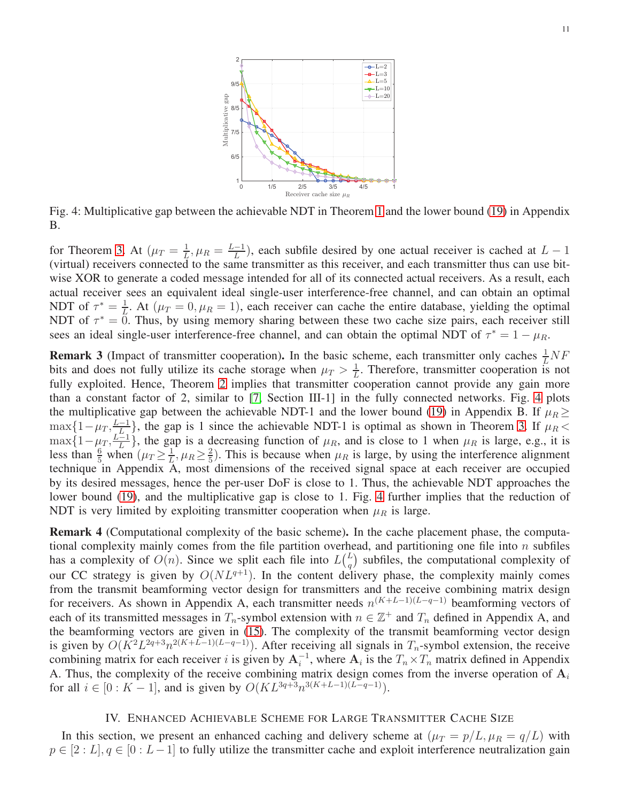<span id="page-10-1"></span>

Fig. 4: Multiplicative gap between the achievable NDT in Theorem [1](#page-9-2) and the lower bound [\(19\)](#page-19-0) in Appendix B.

for Theorem [3.](#page-9-4) At  $(\mu_T = \frac{1}{L})$  $\frac{1}{L}, \mu_R = \frac{L-1}{L}$  $\frac{(-1)}{L}$ , each subfile desired by one actual receiver is cached at  $L - 1$ (virtual) receivers connected to the same transmitter as this receiver, and each transmitter thus can use bitwise XOR to generate a coded message intended for all of its connected actual receivers. As a result, each actual receiver sees an equivalent ideal single-user interference-free channel, and can obtain an optimal NDT of  $\tau^* = \frac{1}{l}$  $\frac{1}{L}$ . At ( $\mu_T = 0, \mu_R = 1$ ), each receiver can cache the entire database, yielding the optimal NDT of  $\tau^* = \overline{0}$ . Thus, by using memory sharing between these two cache size pairs, each receiver still sees an ideal single-user interference-free channel, and can obtain the optimal NDT of  $\tau^* = 1 - \mu_R$ .

**Remark 3** (Impact of transmitter cooperation). In the basic scheme, each transmitter only caches  $\frac{1}{L}NF$ bits and does not fully utilize its cache storage when  $\mu_T > \frac{1}{L}$  $\frac{1}{L}$ . Therefore, transmitter cooperation is not fully exploited. Hence, Theorem [2](#page-9-3) implies that transmitter cooperation cannot provide any gain more than a constant factor of 2, similar to [\[7,](#page-20-9) Section III-1] in the fully connected networks. Fig. [4](#page-10-1) plots the multiplicative gap between the achievable NDT-1 and the lower bound [\(19\)](#page-19-0) in Appendix B. If  $\mu_R \ge$  $\max\{1-\mu_T, \frac{L-1}{L}\}\$ , the gap is 1 since the achievable NDT-1 is optimal as shown in Theorem [3.](#page-9-4) If  $\mu_R$  $\max\{1-\mu_T, \frac{L}{L}\}\$  $\frac{-1}{L}$ , the gap is a decreasing function of  $\mu_R$ , and is close to 1 when  $\mu_R$  is large, e.g., it is less than  $\frac{6}{5}$  when  $(\mu_T \geq \frac{1}{L})$  $\frac{1}{L}, \mu_R \geq \frac{2}{5}$  $\frac{2}{5}$ ). This is because when  $\mu_R$  is large, by using the interference alignment technique in Appendix A, most dimensions of the received signal space at each receiver are occupied by its desired messages, hence the per-user DoF is close to 1. Thus, the achievable NDT approaches the lower bound [\(19\)](#page-19-0), and the multiplicative gap is close to 1. Fig. [4](#page-10-1) further implies that the reduction of NDT is very limited by exploiting transmitter cooperation when  $\mu_R$  is large.

**Remark 4** (Computational complexity of the basic scheme). In the cache placement phase, the computational complexity mainly comes from the file partition overhead, and partitioning one file into  $n$  subfiles has a complexity of  $O(n)$ . Since we split each file into  $L\binom{L}{n}$  $\binom{L}{q}$  subfiles, the computational complexity of our CC strategy is given by  $O(NL^{q+1})$ . In the content delivery phase, the complexity mainly comes from the transmit beamforming vector design for transmitters and the receive combining matrix design for receivers. As shown in Appendix A, each transmitter needs  $n^{(K+L-1)(L-q-1)}$  beamforming vectors of each of its transmitted messages in  $T_n$ -symbol extension with  $n \in \mathbb{Z}^+$  and  $T_n$  defined in Appendix A, and the beamforming vectors are given in [\(15\)](#page-18-0). The complexity of the transmit beamforming vector design is given by  $O(K^2L^{2q+3}n^{2(K+L-1)(L-q-1)})$ . After receiving all signals in  $T_n$ -symbol extension, the receive combining matrix for each receiver i is given by  $A_i^{-1}$ , where  $A_i$  is the  $T_n \times T_n$  matrix defined in Appendix A. Thus, the complexity of the receive combining matrix design comes from the inverse operation of  $A_i$ for all  $i \in [0: K - 1]$ , and is given by  $O(KL^{3q+3}n^{3(K+L-1)(L-q-1)})$ .

## IV. ENHANCED ACHIEVABLE SCHEME FOR LARGE TRANSMITTER CACHE SIZE

<span id="page-10-0"></span>In this section, we present an enhanced caching and delivery scheme at  $(\mu_T = p/L, \mu_R = q/L)$  with  $p \in [2:L], q \in [0:L-1]$  to fully utilize the transmitter cache and exploit interference neutralization gain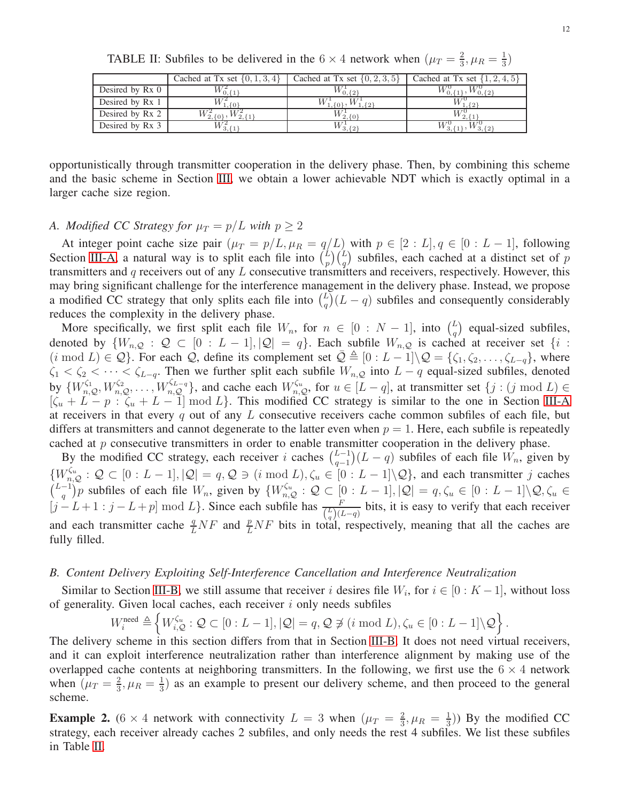<span id="page-11-0"></span>

| TABLE II: Subfiles to be delivered in the 6 $\times$ 4 network when $(\mu_T = \frac{2}{3}, \mu_R = \frac{1}{3})$ |  |  |
|------------------------------------------------------------------------------------------------------------------|--|--|
|------------------------------------------------------------------------------------------------------------------|--|--|

|                 | Cached at Tx set $\{0, 1, 3, 4\}$ | Cached at Tx set $\{0, 2, 3, 5\}$ | Cached at Tx set $\{1, 2, 4, 5\}$ |
|-----------------|-----------------------------------|-----------------------------------|-----------------------------------|
| Desired by Rx 0 |                                   | 0.12                              | ) { 2}                            |
| Desired by Rx 1 | - 10                              |                                   |                                   |
| Desired by Rx 2 |                                   | $1^{\prime}2.10^{\prime}$         |                                   |
| Desired by Rx 3 | ′ 3. { 1                          | 13.12                             |                                   |

opportunistically through transmitter cooperation in the delivery phase. Then, by combining this scheme and the basic scheme in Section [III,](#page-5-0) we obtain a lower achievable NDT which is exactly optimal in a larger cache size region.

## *A. Modified CC Strategy for*  $\mu_T = p/L$  *with*  $p \geq 2$

At integer point cache size pair  $(\mu_T = p/L, \mu_R = q/L)$  with  $p \in [2:L], q \in [0:L-1]$ , following Section [III-A,](#page-5-3) a natural way is to split each file into  $\binom{L}{n}$  $\binom{L}{p}$   $\binom{L}{q}$  subfiles, each cached at a distinct set of p transmitters and q receivers out of any L consecutive transmitters and receivers, respectively. However, this may bring significant challenge for the interference management in the delivery phase. Instead, we propose a modified CC strategy that only splits each file into  $\binom{L}{a}$  $\binom{L}{q}(L-q)$  subfiles and consequently considerably reduces the complexity in the delivery phase.

More specifically, we first split each file  $W_n$ , for  $n \in [0 : N - 1]$ , into  $\binom{L}{a}$  $\binom{L}{q}$  equal-sized subfiles, denoted by  $\{W_{n,Q} : Q \subset [0 : L-1], |\mathcal{Q}| = q\}$ . Each subfile  $W_{n,Q}$  is cached at receiver set  $\{i :$  $(i \mod L) \in \mathcal{Q}$ . For each  $\mathcal{Q}$ , define its complement set  $\bar{\mathcal{Q}} \triangleq [0 : L - 1] \setminus \mathcal{Q} = {\zeta_1, \zeta_2, \ldots, \zeta_{L-q}}$ , where  $\zeta_1 < \zeta_2 < \cdots < \zeta_{L-q}$ . Then we further split each subfile  $W_{n,Q}$  into  $L-q$  equal-sized subfiles, denoted by  $\{W_{n,Q}^{\zeta_1}, W_{n,Q}^{\zeta_2}, \ldots, W_{n,Q}^{\zeta_{L-q}}\}$ , and cache each  $W_{n,Q}^{\zeta_u}$ , for  $u \in [L-q]$ , at transmitter set  $\{j : (j \mod L) \in$  $[\zeta_u + L - p : \zeta_u + L - 1] \mod L$ . This modified CC strategy is similar to the one in Section [III-A](#page-5-3) at receivers in that every q out of any  $L$  consecutive receivers cache common subfiles of each file, but differs at transmitters and cannot degenerate to the latter even when  $p = 1$ . Here, each subfile is repeatedly cached at  $p$  consecutive transmitters in order to enable transmitter cooperation in the delivery phase.

By the modified CC strategy, each receiver i caches  $\binom{L-1}{q-1}$  $\binom{L-1}{q-1}(L-q)$  subfiles of each file  $W_n$ , given by  $\{W_{n,\mathcal{Q}}^{\zeta_u}:\mathcal{Q}\subset [0:L-1], |\mathcal{Q}|=q,\mathcal{Q}\ni(i\text{ mod }L), \zeta_u\in [0:L-1]\backslash\mathcal{Q}\}\$ , and each transmitter j caches  $\binom{L-1}{a}$  $(q^{-1})p$  subfiles of each file  $W_n$ , given by  $\{W_{n,Q}^{\zeta_u} : Q \subset [0 : L-1], |Q| = q, \zeta_u \in [0 : L-1] \setminus Q, \zeta_u \in Q\}$  $[j-L+1:j-L+p] \mod L$ . Since each subfile has  $\frac{F}{\binom{L}{q}(L-q)}$  bits, it is easy to verify that each receiver and each transmitter cache  $\frac{q}{L}NF$  and  $\frac{p}{L}NF$  bits in total, respectively, meaning that all the caches are fully filled.

#### *B. Content Delivery Exploiting Self-Interference Cancellation and Interference Neutralization*

Similar to Section [III-B,](#page-6-2) we still assume that receiver i desires file  $W_i$ , for  $i \in [0:K-1]$ , without loss of generality. Given local caches, each receiver  $i$  only needs subfiles

$$
W_i^{\text{need}} \triangleq \left\{ W_{i,Q}^{\zeta_u} : Q \subset [0 : L-1], |Q| = q, Q \not\ni (i \bmod L), \zeta_u \in [0 : L-1] \backslash Q \right\}.
$$

The delivery scheme in this section differs from that in Section [III-B.](#page-6-2) It does not need virtual receivers, and it can exploit interference neutralization rather than interference alignment by making use of the overlapped cache contents at neighboring transmitters. In the following, we first use the  $6 \times 4$  network when  $(\mu_T = \frac{2}{3})$  $\frac{2}{3}, \mu_R = \frac{1}{3}$  $\frac{1}{3}$ ) as an example to present our delivery scheme, and then proceed to the general scheme.

<span id="page-11-1"></span>**Example 2.** (6 × 4 network with connectivity  $L = 3$  when  $(\mu_T = \frac{2}{3})$  $\frac{2}{3}, \mu_R = \frac{1}{3}$  $\frac{1}{3}$ )) By the modified CC strategy, each receiver already caches 2 subfiles, and only needs the rest 4 subfiles. We list these subfiles in Table [II.](#page-11-0)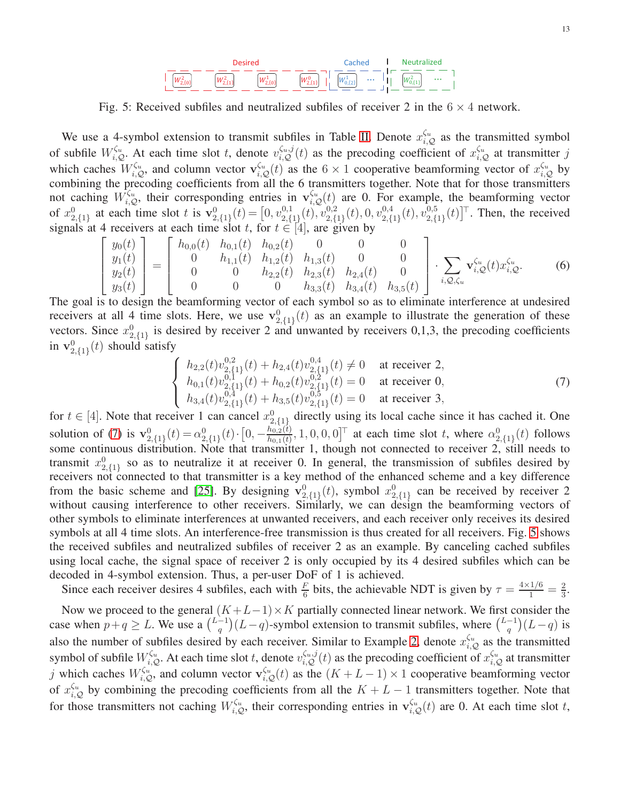

<span id="page-12-1"></span>Fig. 5: Received subfiles and neutralized subfiles of receiver 2 in the  $6 \times 4$  network.

We use a 4-symbol extension to transmit subfiles in Table [II.](#page-11-0) Denote  $x_{i,Q}^{\zeta_u}$  as the transmitted symbol of subfile  $W_{i,Q}^{\zeta_u}$ . At each time slot t, denote  $v_{i,Q}^{\zeta_u,j}(t)$  as the precoding coefficient of  $x_{i,Q}^{\zeta_u}$  at transmitter j which caches  $W_{i,Q}^{\zeta_u}$ , and column vector  $\mathbf{v}_{i,Q}^{\zeta_u}(t)$  as the  $6 \times 1$  cooperative beamforming vector of  $x_{i,Q}^{\zeta_u}$  by combining the precoding coefficients from all the 6 transmitters together. Note that for those transmitters not caching  $\hat{W}_{i,Q}^{\zeta_u}$ , their corresponding entries in  $\mathbf{v}_{i,Q}^{\zeta_u}(t)$  are 0. For example, the beamforming vector of  $x_{2,\{1\}}^0$  at each time slot t is  $\mathbf{v}_{2,\{1\}}^0(t) = [0, v_{2,\{1\}}^{0,1}]$  $\mathbb{C}^{0,1}_{2,\{1\}}(t), \mathbb{C}^{0,2}_{2,\{0\}}$  $_{2,\{1\}}^{0,2}(t),$   $0, v_{2,\{1\}}^{0,4}$  $\mathbb{P}^{0,4}_{2,\{1\}}(t),\mathbb{v}_{2,\{1\}}^{0,5}$  $_{2,\{1\}}^{0,5}(t)$ <sup>T</sup>. Then, the received signals at 4 receivers at each time slot t, for  $t \in [4]$ , are given by

$$
\begin{bmatrix} y_0(t) \\ y_1(t) \\ y_2(t) \\ y_3(t) \end{bmatrix} = \begin{bmatrix} h_{0,0}(t) & h_{0,1}(t) & h_{0,2}(t) & 0 & 0 & 0 \\ 0 & h_{1,1}(t) & h_{1,2}(t) & h_{1,3}(t) & 0 & 0 \\ 0 & 0 & h_{2,2}(t) & h_{2,3}(t) & h_{2,4}(t) & 0 \\ 0 & 0 & 0 & h_{3,3}(t) & h_{3,4}(t) & h_{3,5}(t) \end{bmatrix} \cdot \sum_{i, \mathcal{Q}, \zeta_u} \mathbf{v}_{i, \mathcal{Q}}^{\zeta_u}(t) x_{i, \mathcal{Q}}^{\zeta_u}.
$$
 (6)

The goal is to design the beamforming vector of each symbol so as to eliminate interference at undesired receivers at all 4 time slots. Here, we use  $\mathbf{v}_{2,\{1\}}^0(t)$  as an example to illustrate the generation of these vectors. Since  $x_{2,\{1\}}^0$  is desired by receiver 2 and unwanted by receivers 0,1,3, the precoding coefficients in  $\mathbf{v}_{2,\{1\}}^0(t)$  should satisfy

<span id="page-12-0"></span>
$$
\begin{cases}\nh_{2,2}(t)v_{2,\{1\}}^{0,2}(t) + h_{2,4}(t)v_{2,\{1\}}^{0,4}(t) \neq 0 & \text{at receiver 2,} \\
h_{0,1}(t)v_{2,\{1\}}^{0,1}(t) + h_{0,2}(t)v_{2,\{1\}}^{0,2}(t) = 0 & \text{at receiver 0,} \\
h_{3,4}(t)v_{2,\{1\}}^{0,4}(t) + h_{3,5}(t)v_{2,\{1\}}^{0,5}(t) = 0 & \text{at receiver 3,} \n\end{cases}
$$
\n(7)

for  $t \in [4]$ . Note that receiver 1 can cancel  $x_{2,\{1\}}^0$  directly using its local cache since it has cached it. One solution of [\(7\)](#page-12-0) is  $\mathbf{v}_{2,\{1\}}^0(t) = \alpha_{2,\{1\}}^0(t) \cdot [0, -\frac{h_{0,2}(t)}{h_{0,1}(t)}]$  $\frac{h_{0,2}(t)}{h_{0,1}(t)}$ , 1, 0, 0, 0]<sup>T</sup> at each time slot t, where  $\alpha_{2,\{1\}}^0(t)$  follows some continuous distribution. Note that transmitter 1, though not connected to receiver 2, still needs to transmit  $x_{2,\{1\}}^0$  so as to neutralize it at receiver 0. In general, the transmission of subfiles desired by receivers not connected to that transmitter is a key method of the enhanced scheme and a key difference from the basic scheme and [\[25\]](#page-21-7). By designing  $\mathbf{v}_{2,\{1\}}^0(t)$ , symbol  $x_{2,\{1\}}^0$  can be received by receiver 2 without causing interference to other receivers. Similarly, we can design the beamforming vectors of other symbols to eliminate interferences at unwanted receivers, and each receiver only receives its desired symbols at all 4 time slots. An interference-free transmission is thus created for all receivers. Fig. [5](#page-12-1) shows the received subfiles and neutralized subfiles of receiver 2 as an example. By canceling cached subfiles using local cache, the signal space of receiver 2 is only occupied by its 4 desired subfiles which can be decoded in 4-symbol extension. Thus, a per-user DoF of 1 is achieved.

Since each receiver desires 4 subfiles, each with  $\frac{F}{6}$  bits, the achievable NDT is given by  $\tau = \frac{4 \times 1/6}{1} = \frac{2}{3}$  $\frac{2}{3}$ .

Now we proceed to the general  $(K+L-1)\times K$  partially connected linear network. We first consider the case when  $p+q \geq L$ . We use a  $\binom{L-1}{q}$  $\binom{-1}{q}(L-q)$ -symbol extension to transmit subfiles, where  $\binom{L-1}{q}$  $\binom{-1}{q}(L-q)$  is also the number of subfiles desired by each receiver. Similar to Example [2,](#page-11-1) denote  $x_{i,Q}^{\zeta_u}$  as the transmitted symbol of subfile  $W_{i,Q}^{\zeta_u}$ . At each time slot t, denote  $v_{i,Q}^{\zeta_u,j}(t)$  as the precoding coefficient of  $x_{i,Q}^{\zeta_u}$  at transmitter j which caches  $W_{i,Q}^{\zeta_u}$ , and column vector  $\mathbf{v}_{i,Q}^{\zeta_u}(t)$  as the  $(K+L-1)\times 1$  cooperative beamforming vector of  $x_{i,Q}^{\zeta_u}$  by combining the precoding coefficients from all the  $K + L - 1$  transmitters together. Note that for those transmitters not caching  $W_{i,Q}^{\zeta_u}$ , their corresponding entries in  $\mathbf{v}_{i,Q}^{\zeta_u}(t)$  are 0. At each time slot t,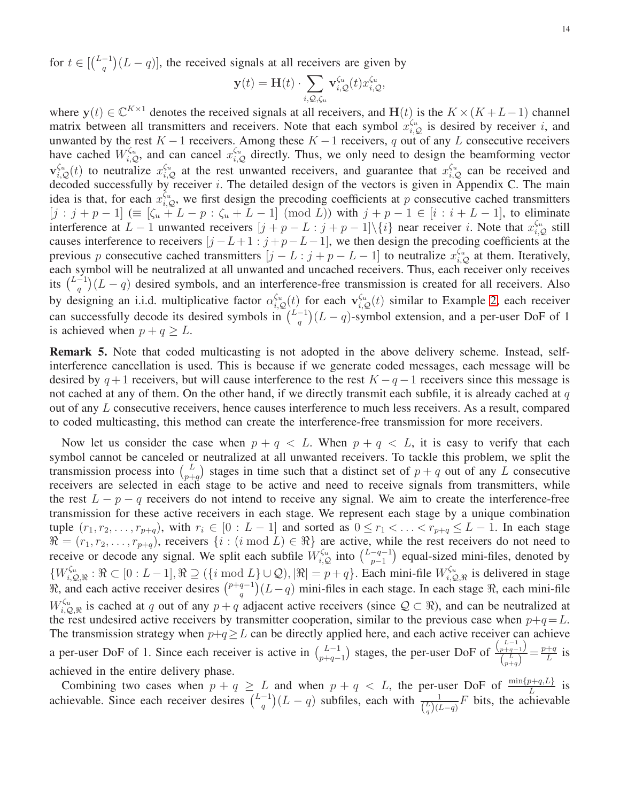for  $t \in \left[\binom{L-1}{a}\right]$  $\binom{-1}{q}(L-q)$ , the received signals at all receivers are given by

$$
\mathbf{y}(t) = \mathbf{H}(t) \cdot \sum_{i,Q,\zeta_u} \mathbf{v}_{i,Q}^{\zeta_u}(t) x_{i,Q}^{\zeta_u},
$$

where  $y(t) \in \mathbb{C}^{K \times 1}$  denotes the received signals at all receivers, and  $H(t)$  is the  $K \times (K + L - 1)$  channel matrix between all transmitters and receivers. Note that each symbol  $x_{i,Q}^{\zeta_u}$  is desired by receiver i, and unwanted by the rest  $K - 1$  receivers. Among these  $K - 1$  receivers, q out of any L consecutive receivers have cached  $W_{i,Q}^{\zeta_u}$ , and can cancel  $x_{i,Q}^{\zeta_u}$  directly. Thus, we only need to design the beamforming vector  $\mathbf{v}_{i,Q}^{\zeta_u}(t)$  to neutralize  $x_{i,Q}^{\zeta_u}$  at the rest unwanted receivers, and guarantee that  $x_{i,Q}^{\zeta_u}$  can be received and decoded successfully by receiver  $i$ . The detailed design of the vectors is given in Appendix C. The main idea is that, for each  $x_{i,Q}^{\zeta_u}$ , we first design the precoding coefficients at p consecutive cached transmitters  $[j : j + p - 1] \equiv [\zeta_u + L - p : \zeta_u + L - 1] \pmod{L}$  with  $j + p - 1 \in [i : i + L - 1]$ , to eliminate interference at  $L-1$  unwanted receivers  $[j+p-L:j+p-1]\setminus\{i\}$  near receiver i. Note that  $x_{i,Q}^{\zeta_u}$  still causes interference to receivers  $[j - L + 1 : j + p - L - 1]$ , we then design the precoding coefficients at the previous p consecutive cached transmitters  $[j - L : j + p - L - 1]$  to neutralize  $x_{i,Q}^{\zeta_u}$  at them. Iteratively, each symbol will be neutralized at all unwanted and uncached receivers. Thus, each receiver only receives its  $\binom{L-1}{a}$  $\binom{-1}{q}(L-q)$  desired symbols, and an interference-free transmission is created for all receivers. Also by designing an i.i.d. multiplicative factor  $\alpha_{i,Q}^{\zeta_u}(t)$  for each  $\mathbf{v}_{i,Q}^{\zeta_u}(t)$  similar to Example [2,](#page-11-1) each receiver can successfully decode its desired symbols in  $\binom{L-1}{a}$  $\binom{-1}{q}(L-q)$ -symbol extension, and a per-user DoF of 1 is achieved when  $p + q > L$ .

Remark 5. Note that coded multicasting is not adopted in the above delivery scheme. Instead, selfinterference cancellation is used. This is because if we generate coded messages, each message will be desired by  $q+1$  receivers, but will cause interference to the rest  $K-q-1$  receivers since this message is not cached at any of them. On the other hand, if we directly transmit each subfile, it is already cached at  $q$ out of any L consecutive receivers, hence causes interference to much less receivers. As a result, compared to coded multicasting, this method can create the interference-free transmission for more receivers.

Now let us consider the case when  $p + q < L$ . When  $p + q < L$ , it is easy to verify that each symbol cannot be canceled or neutralized at all unwanted receivers. To tackle this problem, we split the transmission process into  $\binom{L}{n+1}$  $\binom{L}{p+q}$  stages in time such that a distinct set of  $p+q$  out of any L consecutive receivers are selected in each stage to be active and need to receive signals from transmitters, while the rest  $L - p - q$  receivers do not intend to receive any signal. We aim to create the interference-free transmission for these active receivers in each stage. We represent each stage by a unique combination tuple  $(r_1, r_2, \ldots, r_{p+q})$ , with  $r_i \in [0 : L-1]$  and sorted as  $0 \le r_1 < \ldots < r_{p+q} \le L-1$ . In each stage  $\Re = (r_1, r_2, \ldots, r_{p+q})$ , receivers  $\{i : (i \bmod L) \in \Re\}$  are active, while the rest receivers do not need to receive or decode any signal. We split each subfile  $W_{i,Q}^{\zeta_u}$  into  $\binom{L-q-1}{p-1}$  $\binom{-q-1}{p-1}$  equal-sized mini-files, denoted by  $\{W_{i,\zeta}^{\zeta_u}$  $i, Q_{i}, Q_{i}, \mathbb{R}: \mathbb{R} \subset [0:L-1], \mathbb{R} \supseteq (\{i \bmod L\} \cup \mathcal{Q}), |\mathbb{R}| = p + q\}.$  Each mini-file  $W_{i, Q}^{\zeta_u}$  $\zeta_{i,\mathcal{Q},\Re}^{\zeta_u}$  is delivered in stage  $\Re$ , and each active receiver desires  $\binom{p+q-1}{q}$  $\binom{q-1}{q}(L-q)$  mini-files in each stage. In each stage  $\Re$ , each mini-file  $W_{i,\mathcal{L}}^{\zeta_u}$  $i, Q, R, \ldots, Q, R$  is cached at q out of any  $p + q$  adjacent active receivers (since  $Q \subset \mathbb{R}$ ), and can be neutralized at the rest undesired active receivers by transmitter cooperation, similar to the previous case when  $p+q=L$ . The transmission strategy when  $p+q \geq L$  can be directly applied here, and each active receiver can achieve a per-user DoF of 1. Since each receiver is active in  $\binom{L-1}{n+a}$  $\binom{L-1}{p+q-1}$  stages, the per-user DoF of  $\binom{\binom{L-1}{p+q-1}}{\binom{L}{p+q}}$  $\frac{p+q-1}{\binom{L}{p+q}} = \frac{p+q}{L}$  $\frac{+q}{L}$  is achieved in the entire delivery phase.

Combining two cases when  $p + q \geq L$  and when  $p + q < L$ , the per-user DoF of  $\frac{\min\{p+q, L\}}{L}$  is achievable. Since each receiver desires  $\binom{L-1}{a}$  $\frac{1}{\binom{n}{q}}(L-q)$  subfiles, each with  $\frac{1}{\binom{L}{q}}(L-q)F$  bits, the achievable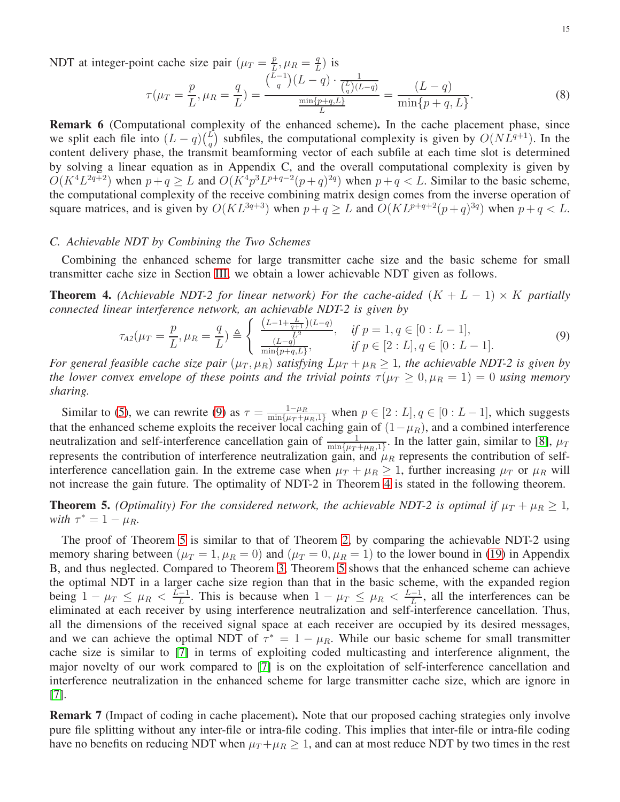NDT at integer-point cache size pair  $(\mu_T = \frac{p}{L})$  $\frac{p}{L}, \mu_R = \frac{q}{L}$  $\frac{q}{L}$ ) is

$$
\tau(\mu_T = \frac{p}{L}, \mu_R = \frac{q}{L}) = \frac{\binom{L-1}{q}(L-q) \cdot \frac{1}{\binom{L}{q}(L-q)}}{\frac{\min\{p+q, L\}}{L}} = \frac{(L-q)}{\min\{p+q, L\}}.
$$
\n(8)

Remark 6 (Computational complexity of the enhanced scheme). In the cache placement phase, since we split each file into  $(L - q)$  $\binom{L}{q}$  $_{q}^{L}$ ) subfiles, the computational complexity is given by  $O(NL^{q+1})$ . In the content delivery phase, the transmit beamforming vector of each subfile at each time slot is determined by solving a linear equation as in Appendix C, and the overall computational complexity is given by  $O(K^4L^{2q+2})$  when  $p+q \ge L$  and  $O(K^4p^3L^{p+q-2}(p+q)^{2q})$  when  $p+q < L$ . Similar to the basic scheme, the computational complexity of the receive combining matrix design comes from the inverse operation of square matrices, and is given by  $O(KL^{3q+3})$  when  $p+q \ge L$  and  $O(KL^{p+q+2}(p+q)^{3q})$  when  $p+q < L$ .

#### *C. Achievable NDT by Combining the Two Schemes*

Combining the enhanced scheme for large transmitter cache size and the basic scheme for small transmitter cache size in Section [III,](#page-5-0) we obtain a lower achievable NDT given as follows.

<span id="page-14-1"></span>**Theorem 4.** *(Achievable NDT-2 for linear network) For the cache-aided*  $(K + L - 1) \times K$  *partially connected linear interference network, an achievable NDT-2 is given by*

<span id="page-14-0"></span>
$$
\tau_{A2}(\mu_T = \frac{p}{L}, \mu_R = \frac{q}{L}) \triangleq \begin{cases} \frac{(L-1+\frac{L}{q+1})(L-q)}{L^2}, & \text{if } p = 1, q \in [0:L-1],\\ \frac{(L-q)^2}{\min\{p+q,L\}}, & \text{if } p \in [2:L], q \in [0:L-1]. \end{cases}
$$
(9)

*For general feasible cache size pair*  $(\mu_T, \mu_R)$  *satisfying*  $L\mu_T + \mu_R \geq 1$ *, the achievable NDT-2 is given by the lower convex envelope of these points and the trivial points*  $\tau(\mu_T \geq 0, \mu_R = 1) = 0$  *using memory sharing.*

Similar to [\(5\)](#page-9-1), we can rewrite [\(9\)](#page-14-0) as  $\tau = \frac{1-\mu_R}{\min\{\mu_T + \mu_R, 1\}}$  when  $p \in [2:L], q \in [0:L-1]$ , which suggests that the enhanced scheme exploits the receiver local caching gain of  $(1-\mu_R)$ , and a combined interference neutralization and self-interference cancellation gain of  $\frac{1}{\min\{u\}}$  $\frac{1}{\min\{\mu_T + \mu_{R,1}\}}$ . In the latter gain, similar to [\[8\]](#page-20-10),  $\mu_T$ represents the contribution of interference neutralization gain, and  $\mu_R$  represents the contribution of selfinterference cancellation gain. In the extreme case when  $\mu_T + \mu_R \ge 1$ , further increasing  $\mu_T$  or  $\mu_R$  will not increase the gain future. The optimality of NDT-2 in Theorem [4](#page-14-1) is stated in the following theorem.

<span id="page-14-2"></span>**Theorem 5.** *(Optimality) For the considered network, the achievable NDT-2 is optimal if*  $\mu_T + \mu_R \geq 1$ *, with*  $\tau^* = 1 - \mu_R$ *.* 

The proof of Theorem [5](#page-14-2) is similar to that of Theorem [2,](#page-9-3) by comparing the achievable NDT-2 using memory sharing between  $(\mu_T = 1, \mu_R = 0)$  and  $(\mu_T = 0, \mu_R = 1)$  to the lower bound in [\(19\)](#page-19-0) in Appendix B, and thus neglected. Compared to Theorem [3,](#page-9-4) Theorem [5](#page-14-2) shows that the enhanced scheme can achieve the optimal NDT in a larger cache size region than that in the basic scheme, with the expanded region being  $1 - \mu_T \leq \mu_R < \frac{L-1}{L}$  $\frac{-1}{L}$ . This is because when  $1 - \mu_T \leq \mu_R < \frac{L-1}{L}$  $\frac{-1}{L}$ , all the interferences can be eliminated at each receiver by using interference neutralization and self-interference cancellation. Thus, all the dimensions of the received signal space at each receiver are occupied by its desired messages, and we can achieve the optimal NDT of  $\tau^* = 1 - \mu_R$ . While our basic scheme for small transmitter cache size is similar to [\[7\]](#page-20-9) in terms of exploiting coded multicasting and interference alignment, the major novelty of our work compared to [\[7\]](#page-20-9) is on the exploitation of self-interference cancellation and interference neutralization in the enhanced scheme for large transmitter cache size, which are ignore in [\[7\]](#page-20-9).

**Remark 7** (Impact of coding in cache placement). Note that our proposed caching strategies only involve pure file splitting without any inter-file or intra-file coding. This implies that inter-file or intra-file coding have no benefits on reducing NDT when  $\mu_T + \mu_R \geq 1$ , and can at most reduce NDT by two times in the rest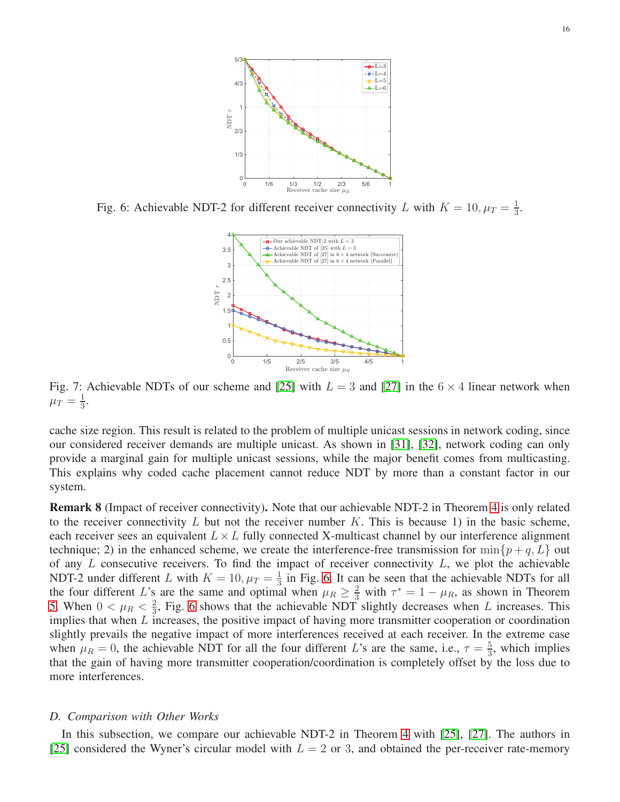<span id="page-15-1"></span>

<span id="page-15-2"></span>Fig. 6: Achievable NDT-2 for different receiver connectivity L with  $K = 10, \mu_T = \frac{1}{3}$  $\frac{1}{3}$ .



Fig. 7: Achievable NDTs of our scheme and [\[25\]](#page-21-7) with  $L = 3$  and [\[27\]](#page-21-9) in the  $6 \times 4$  linear network when  $\mu_T = \frac{1}{3}$  $\frac{1}{3}$ .

cache size region. This result is related to the problem of multiple unicast sessions in network coding, since our considered receiver demands are multiple unicast. As shown in [\[31\]](#page-21-13), [\[32\]](#page-21-14), network coding can only provide a marginal gain for multiple unicast sessions, while the major benefit comes from multicasting. This explains why coded cache placement cannot reduce NDT by more than a constant factor in our system.

Remark 8 (Impact of receiver connectivity). Note that our achievable NDT-2 in Theorem [4](#page-14-1) is only related to the receiver connectivity  $L$  but not the receiver number  $K$ . This is because 1) in the basic scheme, each receiver sees an equivalent  $L \times L$  fully connected X-multicast channel by our interference alignment technique; 2) in the enhanced scheme, we create the interference-free transmission for  $\min\{p+q, L\}$  out of any  $L$  consecutive receivers. To find the impact of receiver connectivity  $L$ , we plot the achievable NDT-2 under different L with  $K = 10, \mu_T = \frac{1}{3}$  $\frac{1}{3}$  in Fig. [6.](#page-15-1) It can be seen that the achievable NDTs for all the four different L's are the same and optimal when  $\mu_R \geq \frac{2}{3}$  with  $\tau^* = 1 - \mu_R$ , as shown in Theorem [5.](#page-14-2) When  $0 < \mu_R < \frac{2}{3}$  $\frac{2}{3}$ , Fig. [6](#page-15-1) shows that the achievable NDT slightly decreases when L increases. This implies that when L increases, the positive impact of having more transmitter cooperation or coordination slightly prevails the negative impact of more interferences received at each receiver. In the extreme case when  $\mu_R = 0$ , the achievable NDT for all the four different L's are the same, i.e.,  $\tau = \frac{5}{3}$  $\frac{5}{3}$ , which implies that the gain of having more transmitter cooperation/coordination is completely offset by the loss due to more interferences.

#### <span id="page-15-0"></span>*D. Comparison with Other Works*

In this subsection, we compare our achievable NDT-2 in Theorem [4](#page-14-1) with [\[25\]](#page-21-7), [\[27\]](#page-21-9). The authors in [\[25\]](#page-21-7) considered the Wyner's circular model with  $L = 2$  or 3, and obtained the per-receiver rate-memory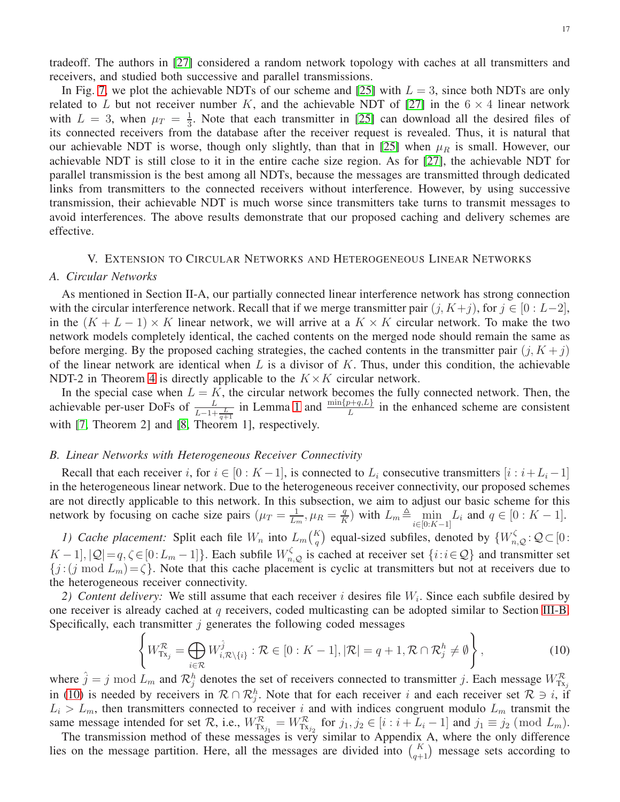tradeoff. The authors in [\[27\]](#page-21-9) considered a random network topology with caches at all transmitters and receivers, and studied both successive and parallel transmissions.

In Fig. [7,](#page-15-2) we plot the achievable NDTs of our scheme and [\[25\]](#page-21-7) with  $L = 3$ , since both NDTs are only related to L but not receiver number K, and the achievable NDT of [\[27\]](#page-21-9) in the  $6 \times 4$  linear network with  $L = 3$ , when  $\mu_T = \frac{1}{3}$  $\frac{1}{3}$ . Note that each transmitter in [\[25\]](#page-21-7) can download all the desired files of its connected receivers from the database after the receiver request is revealed. Thus, it is natural that our achievable NDT is worse, though only slightly, than that in [\[25\]](#page-21-7) when  $\mu_R$  is small. However, our achievable NDT is still close to it in the entire cache size region. As for [\[27\]](#page-21-9), the achievable NDT for parallel transmission is the best among all NDTs, because the messages are transmitted through dedicated links from transmitters to the connected receivers without interference. However, by using successive transmission, their achievable NDT is much worse since transmitters take turns to transmit messages to avoid interferences. The above results demonstrate that our proposed caching and delivery schemes are effective.

## V. EXTENSION TO CIRCULAR NETWORKS AND HETEROGENEOUS LINEAR NETWORKS

#### <span id="page-16-0"></span>*A. Circular Networks*

As mentioned in Section II-A, our partially connected linear interference network has strong connection with the circular interference network. Recall that if we merge transmitter pair  $(j, K+j)$ , for  $j \in [0: L-2]$ , in the  $(K + L - 1) \times K$  linear network, we will arrive at a  $K \times K$  circular network. To make the two network models completely identical, the cached contents on the merged node should remain the same as before merging. By the proposed caching strategies, the cached contents in the transmitter pair  $(j, K + j)$ of the linear network are identical when  $L$  is a divisor of  $K$ . Thus, under this condition, the achievable NDT-2 in Theorem [4](#page-14-1) is directly applicable to the  $K \times K$  circular network.

In the special case when  $L = K$ , the circular network becomes the fully connected network. Then, the achievable per-user DoFs of  $\frac{L}{L-1+\frac{L}{q+1}}$  in Lemma [1](#page-8-3) and  $\frac{\min\{p+q,L\}}{L}$  in the enhanced scheme are consistent with [\[7,](#page-20-9) Theorem 2] and [\[8,](#page-20-10) Theorem 1], respectively.

#### <span id="page-16-1"></span>*B. Linear Networks with Heterogeneous Receiver Connectivity*

Recall that each receiver i, for  $i \in [0: K-1]$ , is connected to  $L_i$  consecutive transmitters  $[i : i+L_i-1]$ in the heterogeneous linear network. Due to the heterogeneous receiver connectivity, our proposed schemes are not directly applicable to this network. In this subsection, we aim to adjust our basic scheme for this network by focusing on cache size pairs  $(\mu_T = \frac{1}{L_0})$  $\frac{1}{L_m}, \mu_R = \frac{q}{R}$  $\frac{q}{K}$ ) with  $L_m \triangleq \min_{i \in [0:K-1]} L_i$  and  $q \in [0:K-1]$ .

*1) Cache placement:* Split each file  $W_n$  into  $L_m {K \choose q}$  equal-sized subfiles, denoted by  $\{W_{n,Q}^{\zeta} : Q \subset [0:1]\}$  $K-1$ ,  $|Q|=q, \zeta \in [0:L_m-1]$ . Each subfile  $W_{n,Q}^{\zeta}$  is cached at receiver set  $\{i:i \in Q\}$  and transmitter set  ${j:(j \mod L_m)=\zeta}$ . Note that this cache placement is cyclic at transmitters but not at receivers due to the heterogeneous receiver connectivity.

2) Content delivery: We still assume that each receiver  $i$  desires file  $W_i$ . Since each subfile desired by one receiver is already cached at  $q$  receivers, coded multicasting can be adopted similar to Section [III-B.](#page-6-2) Specifically, each transmitter  $j$  generates the following coded messages

<span id="page-16-2"></span>
$$
\left\{ W^{\mathcal{R}}_{\mathrm{Tx}_{j}} = \bigoplus_{i \in \mathcal{R}} W^{\hat{j}}_{i, \mathcal{R} \setminus \{i\}} : \mathcal{R} \in [0 : K - 1], |\mathcal{R}| = q + 1, \mathcal{R} \cap \mathcal{R}^{h}_{j} \neq \emptyset \right\},\tag{10}
$$

where  $\hat{j} = j \mod L_m$  and  $\mathcal{R}_j^h$  denotes the set of receivers connected to transmitter j. Each message  $W_{\text{Tx}_j}^{\mathcal{R}}$ <br>in [\(10\)](#page-16-2) is needed by receivers in  $\mathcal{R} \cap \mathcal{R}_j^h$ . Note that for each receiver i and each rec  $L_i > L_m$ , then transmitters connected to receiver i and with indices congruent modulo  $L_m$  transmit the same message intended for set  $\mathcal{R}$ , i.e.,  $W_{Tx_{j_1}}^{\mathcal{R}} = W_{Tx_{j_2}}^{\mathcal{R}}$  for  $j_1, j_2 \in [i : i + L_i - 1]$  and  $j_1 \equiv j_2 \pmod{L_m}$ .

The transmission method of these messages is very similar to Appendix A, where the only difference lies on the message partition. Here, all the messages are divided into  $\binom{K}{q+1}$  message sets according to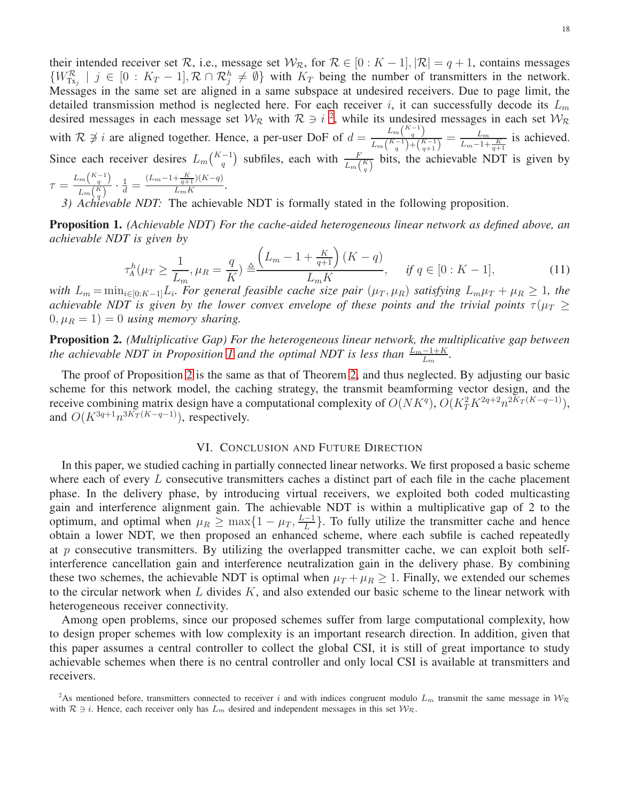their intended receiver set R, i.e., message set  $W_{\mathcal{R}}$ , for  $\mathcal{R} \in [0:K-1], |\mathcal{R}| = q+1$ , contains messages  $\{W_{Tx_j}^{\mathcal{R}} \mid j \in [0: K_T-1], \mathcal{R} \cap \mathcal{R}_j^h \neq \emptyset\}$  with  $K_T$  being the number of transmitters in the network. Messages in the same set are aligned in a same subspace at undesired receivers. Due to page limit, the detailed transmission method is neglected here. For each receiver i, it can successfully decode its  $L_m$ desired messages in each message set  $W_R$  with  $R \ni i^2$  $R \ni i^2$ , while its undesired messages in each set  $W_R$ with  $\mathcal{R} \not\ni i$  are aligned together. Hence, a per-user DoF of  $d = \frac{L_m \binom{K-1}{q}}{L_{\text{max}} \binom{K-1}{k}}$  $\frac{L_m}{L_m\binom{K-1}{q}+\binom{K-1}{q+1}} = \frac{L_m}{L_m-1+\frac{K}{q+1}}$  is achieved. Since each receiver desires  $L_m\binom{K-1}{q}$  subfiles, each with  $\frac{F}{L_m\binom{K}{q}}$  bits, the achievable NDT is given by  $L_m\binom{K-1}{q}$  $(L_m-1+\frac{K}{q+1})(K-q)$ 

$$
\tau = \frac{L_m(\frac{q}{q})}{L_m(\frac{K}{q})} \cdot \frac{1}{d} = \frac{(L_m - 1 + \frac{1}{q+1})(K - q)}{L_m K}.
$$

*3) Achievable NDT:* The achievable NDT is formally stated in the following proposition.

<span id="page-17-2"></span>Proposition 1. *(Achievable NDT) For the cache-aided heterogeneous linear network as defined above, an achievable NDT is given by*

$$
\tau_A^h(\mu_T \ge \frac{1}{L_m}, \mu_R = \frac{q}{K}) \triangleq \frac{\left(L_m - 1 + \frac{K}{q+1}\right)(K - q)}{L_m K}, \quad \text{if } q \in [0:K - 1],\tag{11}
$$

*with*  $L_m = \min_{i \in [0:K-1]} L_i$ . For general feasible cache size pair  $(\mu_T, \mu_R)$  satisfying  $L_m \mu_T + \mu_R \ge 1$ , the *achievable NDT is given by the lower convex envelope of these points and the trivial points*  $\tau(\mu_T \geq$  $(0, \mu_R = 1) = 0$  *using memory sharing.* 

<span id="page-17-3"></span>Proposition 2. *(Multiplicative Gap) For the heterogeneous linear network, the multiplicative gap between the achievable NDT in Proposition 1 and the optimal NDT is less than*  $\frac{L_m-1+K}{L_m}$ .

The proof of Proposition [2](#page-17-3) is the same as that of Theorem [2,](#page-9-3) and thus neglected. By adjusting our basic scheme for this network model, the caching strategy, the transmit beamforming vector design, and the receive combining matrix design have a computational complexity of  $O(NK<sup>q</sup>)$ ,  $O(K<sub>T</sub><sup>2</sup>K<sup>2q+2</sup>n<sup>2K<sub>T</sub>(K-q-1)</sup>$ ), and  $O(K^{3q+1}n^{3K_T(K-q-1)})$ , respectively.

## VI. CONCLUSION AND FUTURE DIRECTION

<span id="page-17-0"></span>In this paper, we studied caching in partially connected linear networks. We first proposed a basic scheme where each of every  $L$  consecutive transmitters caches a distinct part of each file in the cache placement phase. In the delivery phase, by introducing virtual receivers, we exploited both coded multicasting gain and interference alignment gain. The achievable NDT is within a multiplicative gap of 2 to the optimum, and optimal when  $\mu_R \geq \max\{1 - \mu_T, \frac{L-1}{L}\}$  $\frac{-1}{L}$ . To fully utilize the transmitter cache and hence obtain a lower NDT, we then proposed an enhanced scheme, where each subfile is cached repeatedly at p consecutive transmitters. By utilizing the overlapped transmitter cache, we can exploit both selfinterference cancellation gain and interference neutralization gain in the delivery phase. By combining these two schemes, the achievable NDT is optimal when  $\mu_T + \mu_R \ge 1$ . Finally, we extended our schemes to the circular network when  $L$  divides  $K$ , and also extended our basic scheme to the linear network with heterogeneous receiver connectivity.

Among open problems, since our proposed schemes suffer from large computational complexity, how to design proper schemes with low complexity is an important research direction. In addition, given that this paper assumes a central controller to collect the global CSI, it is still of great importance to study achievable schemes when there is no central controller and only local CSI is available at transmitters and receivers.

<span id="page-17-1"></span><sup>&</sup>lt;sup>2</sup>As mentioned before, transmitters connected to receiver i and with indices congruent modulo  $L_m$  transmit the same message in  $W_R$ with  $\mathcal{R} \ni i$ . Hence, each receiver only has  $L_m$  desired and independent messages in this set  $\mathcal{W}_{\mathcal{R}}$ .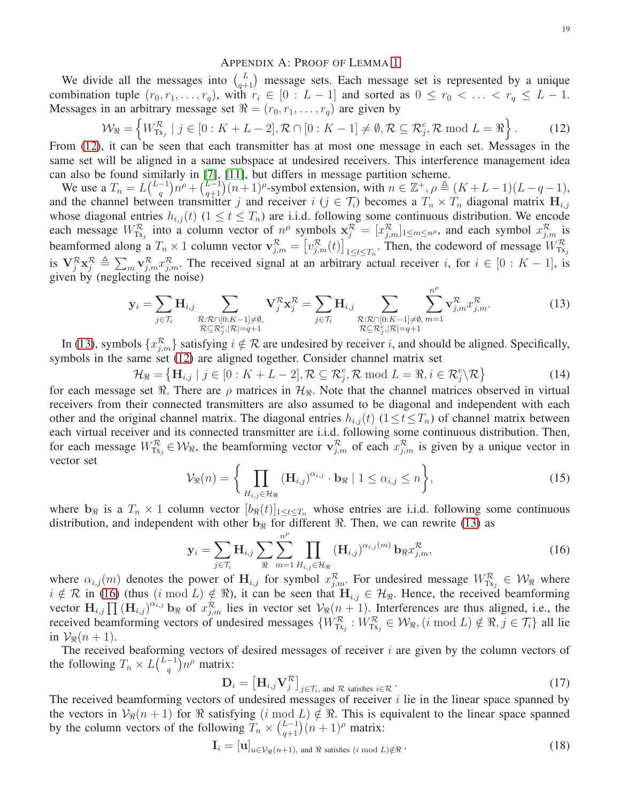#### <span id="page-18-1"></span>APPENDIX A: PROOF OF LEMMA [1](#page-8-3)

We divide all the messages into  $\binom{L}{q+1}$  message sets. Each message set is represented by a unique combination tuple  $(r_0, r_1, \ldots, r_q)$ , with  $r_i \in [0 : L - 1]$  and sorted as  $0 \le r_0 < \ldots < r_q \le L - 1$ . Messages in an arbitrary message set  $\Re = (r_0, r_1, \dots, r_q)$  are given by

$$
\mathcal{W}_{\mathfrak{R}} = \left\{ W_{\mathrm{Tx}_j}^{\mathcal{R}} \mid j \in [0:K+L-2], \mathcal{R} \cap [0:K-1] \neq \emptyset, \mathcal{R} \subseteq \mathcal{R}_j^e, \mathcal{R} \text{ mod } L = \mathfrak{R} \right\}.
$$
 (12)

From [\(12\)](#page-18-1), it can be seen that each transmitter has at most one message in each set. Messages in the same set will be aligned in a same subspace at undesired receivers. This interference management idea can also be found similarly in [\[7\]](#page-20-9), [\[11\]](#page-20-6), but differs in message partition scheme.

We use a  $T_n = L\binom{L-1}{a}$  $(n+1)^{n^{\rho}} + \binom{L-1}{q+1}(n+1)^{\rho}$ -symbol extension, with  $n \in \mathbb{Z}^+, \rho \triangleq (K+L-1)(L-q-1),$ and the channel between transmitter j and receiver  $i$  ( $j \in \mathcal{T}_i$ ) becomes a  $T_n \times T_n$  diagonal matrix  $\mathbf{H}_{i,j}$ whose diagonal entries  $h_{i,j}(t)$  ( $1 \le t \le T_n$ ) are i.i.d. following some continuous distribution. We encode each message  $W_{Tx_j}^R$  into a column vector of  $n^{\rho}$  symbols  $\mathbf{x}_j^R = [x_{j,m}^R]_{1 \le m \le n^{\rho}}$ , and each symbol  $x_{j,m}^R$  is beamformed along a  $T_n \times 1$  column vector  $\mathbf{v}_{j,m}^{\mathcal{R}} = \left[v_{j,m}^{\mathcal{R}}(t)\right]_{1 \le t \le T_n}$ . Then, the codeword of message  $W_{Tx_j}^{\mathcal{R}}$ is  $\mathbf{V}_{j}^{\mathcal{R}}\mathbf{x}_{j}^{\mathcal{R}} \triangleq \sum_{m} \mathbf{v}_{j,m}^{\mathcal{R}} x_{j,m}^{\mathcal{R}}$ . The received signal at an arbitrary actual receiver i, for  $i \in [0:K-1]$ , is given by (neglecting the noise)

$$
\mathbf{y}_{i} = \sum_{j \in \mathcal{T}_{i}} \mathbf{H}_{i,j} \sum_{\substack{\mathcal{R}: \mathcal{R} \cap [0:K-1] \neq \emptyset, \\ \mathcal{R} \subseteq \mathcal{R}_{j}^{e}, |\mathcal{R}| = q+1}} \mathbf{V}_{j}^{\mathcal{R}} \mathbf{x}_{j}^{\mathcal{R}} = \sum_{j \in \mathcal{T}_{i}} \mathbf{H}_{i,j} \sum_{\substack{\mathcal{R}: \mathcal{R} \cap [0:K-1] \neq \emptyset, m=1 \\ \mathcal{R} \subseteq \mathcal{R}_{j}^{e}, |\mathcal{R}| = q+1}} \sum_{m=1}^{n^{\rho}} \mathbf{v}_{j,m}^{\mathcal{R}} x_{j,m}^{\mathcal{R}}.
$$
\n(13)

In [\(13\)](#page-18-2), symbols  $\{x_{j,m}^{\mathcal{R}}\}$  satisfying  $i \notin \mathcal{R}$  are undesired by receiver i, and should be aligned. Specifically, symbols in the same set [\(12\)](#page-18-1) are aligned together. Consider channel matrix set

$$
\mathcal{H}_{\Re} = \left\{ \mathbf{H}_{i,j} \mid j \in [0:K+L-2], \mathcal{R} \subseteq \mathcal{R}_j^e, \mathcal{R} \text{ mod } L = \Re, i \in \mathcal{R}_j^e \setminus \mathcal{R} \right\}
$$
(14)

for each message set  $\Re$ . There are  $\rho$  matrices in  $\mathcal{H}_{\Re}$ . Note that the channel matrices observed in virtual receivers from their connected transmitters are also assumed to be diagonal and independent with each other and the original channel matrix. The diagonal entries  $h_{i,j}(t)$  ( $1 \le t \le T_n$ ) of channel matrix between each virtual receiver and its connected transmitter are i.i.d. following some continuous distribution. Then, for each message  $W_{Tx_j}^R \in \mathcal{W}_{\Re}$ , the beamforming vector  $\mathbf{v}_{j,m}^R$  of each  $x_{j,m}^R$  is given by a unique vector in vector set

<span id="page-18-2"></span><span id="page-18-0"></span>
$$
\mathcal{V}_{\Re}(n) = \left\{ \prod_{H_{i,j} \in \mathcal{H}_{\Re}} (\mathbf{H}_{i,j})^{\alpha_{i,j}} \cdot \mathbf{b}_{\Re} \mid 1 \le \alpha_{i,j} \le n \right\},\tag{15}
$$

where  $b_{\Re}$  is a  $T_n \times 1$  column vector  $[b_{\Re}(t)]_{1 \le t \le T_n}$  whose entries are i.i.d. following some continuous distribution, and independent with other  $b_{\Re}$  for different  $\Re$ . Then, we can rewrite [\(13\)](#page-18-2) as

<span id="page-18-3"></span>
$$
\mathbf{y}_{i} = \sum_{j \in \mathcal{T}_{i}} \mathbf{H}_{i,j} \sum_{\Re} \sum_{m=1}^{n^{\rho}} \prod_{H_{i,j} \in \mathcal{H}_{\Re}} (\mathbf{H}_{i,j})^{\alpha_{i,j}(m)} \mathbf{b}_{\Re} x_{j,m}^{\mathcal{R}},
$$
(16)

where  $\alpha_{i,j}(m)$  denotes the power of  $H_{i,j}$  for symbol  $x_{j,m}^{\mathcal{R}}$ . For undesired message  $W^{\mathcal{R}}_{Tx_j} \in \mathcal{W}_{\Re}$  where  $i \notin \mathcal{R}$  in [\(16\)](#page-18-3) (thus  $(i \mod L) \notin \mathcal{R}$ ), it can be seen that  $H_{i,j} \in \mathcal{H}_{\mathcal{R}}$ . Hence, the received beamforming vector  $H_{i,j} \prod_{i,j} (H_{i,j})^{\alpha_{i,j}} b_{\Re}$  of  $x_{j,m}^{\mathcal{R}}$  lies in vector set  $\mathcal{V}_{\Re}(n+1)$ . Interferences are thus aligned, i.e., the received beamforming vectors of undesired messages  $\{W_{Tx_j}^R : W_{Tx_j}^R \in \mathcal{W}_{\Re}, (i \bmod L) \notin \Re, j \in \mathcal{T}_i\}$  all lie in  $\mathcal{V}_{\mathbb{R}}(n+1)$ .

The received beaforming vectors of desired messages of receiver  $i$  are given by the column vectors of the following  $T_n \times L\binom{L-1}{q}$  $\binom{-1}{q} n^{\rho}$  matrix:

$$
\mathbf{D}_{i} = \left[\mathbf{H}_{i,j} \mathbf{V}_{j}^{\mathcal{R}}\right]_{j \in \mathcal{T}_{i}, \text{ and } \mathcal{R} \text{ satisfies } i \in \mathcal{R}}.
$$
 (17)

The received beamforming vectors of undesired messages of receiver  $i$  lie in the linear space spanned by the vectors in  $\mathcal{V}_{\Re}(n+1)$  for  $\Re$  satisfying  $(i \mod L) \notin \Re$ . This is equivalent to the linear space spanned by the column vectors of the following  $T_n \times {L-1 \choose q+1} (n+1)^p$  matrix:

$$
\mathbf{I}_{i} = [\mathbf{u}]_{u \in \mathcal{V}_{\Re}(n+1), \text{ and } \Re \text{ satisfies } (i \bmod L) \notin \Re}.
$$
 (18)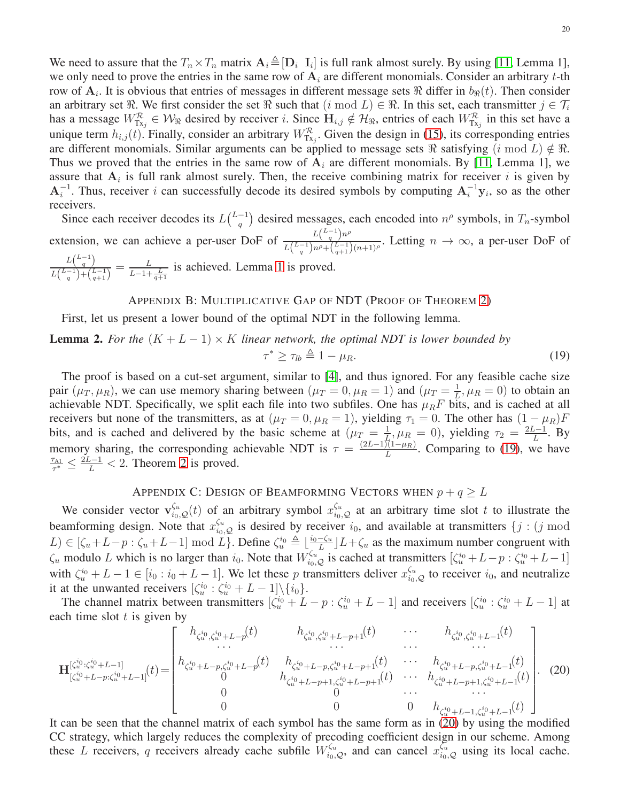We need to assure that the  $T_n \times T_n$  matrix  $\mathbf{A}_i \triangleq [\mathbf{D}_i \ \mathbf{I}_i]$  is full rank almost surely. By using [\[11,](#page-20-6) Lemma 1], we only need to prove the entries in the same row of  $A_i$  are different monomials. Consider an arbitrary t-th row of  $A_i$ . It is obvious that entries of messages in different message sets  $\Re$  differ in  $b_{\Re}(t)$ . Then consider an arbitrary set  $\Re$ . We first consider the set  $\Re$  such that  $(i \mod L) \in \Re$ . In this set, each transmitter  $j \in \mathcal{T}_i$ has a message  $W_{Tx_j}^{\mathcal{R}} \in \mathcal{W}_{\Re}$  desired by receiver i. Since  $H_{i,j} \notin \mathcal{H}_{\Re}$ , entries of each  $W_{Tx_j}^{\mathcal{R}}$  in this set have a unique term  $h_{i,j}(t)$ . Finally, consider an arbitrary  $W_{Tx_j}^{\mathcal{R}}$ . Given the design in [\(15\)](#page-18-0), its corresponding entries are different monomials. Similar arguments can be applied to message sets  $\Re$  satisfying  $(i \mod L) \notin \Re$ . Thus we proved that the entries in the same row of  $A_i$  are different monomials. By [\[11,](#page-20-6) Lemma 1], we assure that  $A_i$  is full rank almost surely. Then, the receive combining matrix for receiver i is given by  $A_i^{-1}$ . Thus, receiver i can successfully decode its desired symbols by computing  $A_i^{-1}$ y<sub>i</sub>, so as the other receivers.

Since each receiver decodes its  $L\binom{L-1}{a}$  $\binom{-1}{q}$  desired messages, each encoded into  $n^{\rho}$  symbols, in  $T_n$ -symbol extension, we can achieve a per-user DoF of  $\frac{L^{(L-1)n\rho}_{q}}{L^{(L-1)n}$  $\frac{L\left(\frac{q}{q}\right)^{n}}{L\left(\frac{L-1}{q}\right)n^p + \left(\frac{L-1}{q+1}\right)(n+1)^p}$ . Letting  $n \to \infty$ , a per-user DoF of  $L\binom{L-1}{q}$  $\frac{L\left(\frac{q}{q}\right)}{L\left(\frac{L-1}{q}\right)+\left(\frac{L-1}{q+1}\right)} = \frac{L}{L-1+\frac{L}{q+1}}$  is achieved. Lemma [1](#page-8-3) is proved.

## <span id="page-19-0"></span>APPENDIX B: MULTIPLICATIVE GAP OF NDT (PROOF OF THEOREM [2\)](#page-9-3)

First, let us present a lower bound of the optimal NDT in the following lemma.

## **Lemma 2.** For the  $(K + L - 1) \times K$  linear network, the optimal NDT is lower bounded by  $\tau^* \geq \tau_{lb} \triangleq 1 - \mu_R.$  (19)

The proof is based on a cut-set argument, similar to [\[4\]](#page-20-2), and thus ignored. For any feasible cache size pair  $(\mu_T, \mu_R)$ , we can use memory sharing between  $(\mu_T = 0, \mu_R = 1)$  and  $(\mu_T = \frac{1}{L})$  $\frac{1}{L}, \mu_R = 0$ ) to obtain an achievable NDT. Specifically, we split each file into two subfiles. One has  $\mu_R F$  bits, and is cached at all receivers but none of the transmitters, as at ( $\mu_T = 0, \mu_R = 1$ ), yielding  $\tau_1 = 0$ . The other has  $(1 - \mu_R)F$ bits, and is cached and delivered by the basic scheme at  $(\mu_T = \frac{1}{L})$  $\frac{1}{L}$ ,  $\mu_R = 0$ ), yielding  $\tau_2 = \frac{2L-1}{L}$  $\frac{1}{L}$ . By memory sharing, the corresponding achievable NDT is  $\tau = \frac{(2L-1)(1-\mu_R)}{L}$  $\frac{L(1 - \mu_R)}{L}$ . Comparing to [\(19\)](#page-19-0), we have  $\tau_{A1}$  $\frac{\tau_{\text{Al}}}{\tau^*} \leq \frac{2L-1}{L} < 2$  $\frac{\tau_{\text{Al}}}{\tau^*} \leq \frac{2L-1}{L} < 2$ . Theorem 2 is proved.

## APPENDIX C: DESIGN OF BEAMFORMING VECTORS WHEN  $p + q \geq L$

We consider vector  $\mathbf{v}_{i_0,Q}^{\zeta_u}(t)$  of an arbitrary symbol  $x_{i_0,Q}^{\zeta_u}$  at an arbitrary time slot t to illustrate the beamforming design. Note that  $x_{i_0,Q}^{\zeta_u}$  is desired by receiver  $i_0$ , and available at transmitters  $\{j : (j \mod 1) \}$  $L \in [\zeta_u + L - p : \zeta_u + L - 1] \mod L$ . Define  $\zeta_u^{i_0} \triangleq \lfloor \frac{i_0 - \zeta_u}{L} \rfloor$  $\frac{-\zeta_u}{L}$   $\left| L+\zeta_u \right|$  as the maximum number congruent with  $\zeta_u$  modulo L which is no larger than  $i_0$ . Note that  $W_{i_0,Q}^{\zeta_u}$  is cached at transmitters  $[\zeta_u^{i_0}+L-p:\zeta_u^{i_0}+L-1]$ with  $\zeta_u^{i_0} + L - 1 \in [i_0 : i_0 + L - 1]$ . We let these p transmitters deliver  $x_{i_0, \mathcal{Q}}^{\zeta_u}$  to receiver  $i_0$ , and neutralize it at the unwanted receivers  $\left[\zeta_u^{i_0} : \zeta_u^{i_0} + L - 1\right] \setminus \{i_0\}.$ 

The channel matrix between transmitters  $[\zeta_u^{i_0}+L-p:\zeta_u^{i_0}+L-1]$  and receivers  $[\zeta_u^{i_0}:\zeta_u^{i_0}+L-1]$  at each time slot  $t$  is given by

<span id="page-19-1"></span>
$$
\mathbf{H}_{[\zeta_{u}^{i_{0}}\cdot\zeta_{u}^{i_{0}}+L-1]}^{[i'_{0}i_{0}i_{0}+L-1]}(t) = \begin{bmatrix} h_{\zeta_{u}^{i_{0}}\cdot\zeta_{u}^{i_{0}}+L-p}^{i_{0}}(t) & h_{\zeta_{u}^{i_{0}}\cdot\zeta_{u}^{i_{0}}+L-p+1}^{i_{0}}(t) & \cdots & h_{\zeta_{u}^{i_{0}}\cdot\zeta_{u}^{i_{0}}+L-1}^{i_{0}}(t) \\ \cdots & \cdots & \cdots & \cdots \\ h_{[\zeta_{u}^{i_{0}}+L-p;\zeta_{u}^{i_{0}}+L-1]}^{i_{0}}(t) & h_{\zeta_{u}^{i_{0}}+L-p;\zeta_{u}^{i_{0}}+L-p+1}^{i_{0}}(t) & \cdots & h_{\zeta_{u}^{i_{0}}+L-p;\zeta_{u}^{i_{0}}+L-1}^{i_{0}}(t) \\ 0 & h_{\zeta_{u}^{i_{0}}+L-p+1;\zeta_{u}^{i_{0}}+L-1;\zeta_{u}^{i_{0}}+L-1}^{i_{0}}(t) & \cdots & \cdots \\ 0 & 0 & 0 & h_{\zeta_{u}^{i_{0}}+L-1;\zeta_{u}^{i_{0}}+L-1}^{i_{0}}(t) \end{bmatrix} . \tag{20}
$$

It can be seen that the channel matrix of each symbol has the same form as in [\(20\)](#page-19-1) by using the modified CC strategy, which largely reduces the complexity of precoding coefficient design in our scheme. Among these L receivers, q receivers already cache subfile  $W_{i_0,\mathcal{Q}}^{\zeta_u}$ , and can cancel  $x_{i_0,\mathcal{Q}}^{\zeta_u}$  using its local cache.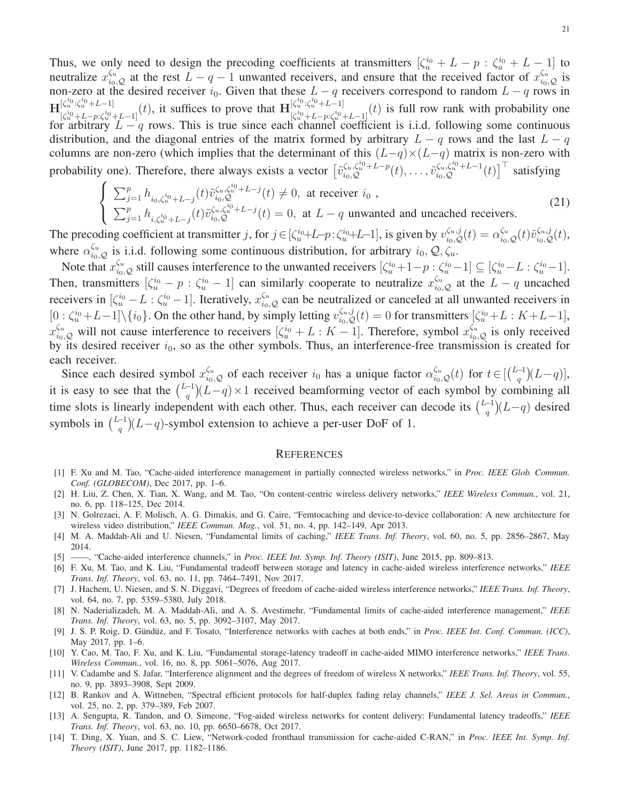Thus, we only need to design the precoding coefficients at transmitters  $[\zeta_u^{i_0}+L-p:\zeta_u^{i_0}+L-1]$  to neutralize  $x_{i_0,Q}^{\zeta_u}$  at the rest  $L-q-1$  unwanted receivers, and ensure that the received factor of  $x_{i_0,Q}^{\zeta_u}$  is non-zero at the desired receiver  $i_0$ . Given that these  $L - q$  receivers correspond to random  $L - q$  rows in  $\mathbf{H}_{\mathbf{b}i}^{[\zeta_u^{i_0}:\zeta_u^{i_0}+L-1]}$  $[\zeta_u^{i_0}:\zeta_u^{i_0}+L-1]$   $(t)$ , it suffices to prove that  $\mathbf{H}^{[\zeta_u^{i_0}:\zeta_u^{i_0}+L-1]}$   $[\zeta_u^{i_0}+L-p:\zeta_u^{i_0}+L-1]$  $\begin{bmatrix} \zeta u^{\alpha_1} \zeta u^{\beta_1} + L - 1 \end{bmatrix}$  (t) is full row rank with probability one for arbitrary  $L - q$  rows. This is true since each channel coefficient is i.i.d. following some continuous distribution, and the diagonal entries of the matrix formed by arbitrary  $L - q$  rows and the last  $L - q$ columns are non-zero (which implies that the determinant of this  $(L-q) \times (L-q)$  matrix is non-zero with probability one). Therefore, there always exists a vector  $\left[\tilde{v}_{i_0,\mathcal{Q}}^{\zeta_u,\zeta_u^{i_0}+L-p}(t),\ldots,\tilde{v}_{i_0,\mathcal{Q}}^{\zeta_u,\zeta_u^{i_0}+L-1}(t)\right]^\top$  satisfying

$$
\begin{cases}\n\sum_{j=1}^{p} h_{i_0,\zeta_u^{i_0}+L-j}(t) \tilde{v}_{i_0,\zeta_u^{i_0}+L-j}^{i_0,\zeta_u^{i_0}+L-j}(t) \neq 0, \text{ at receiver } i_0, \\
\sum_{j=1}^{p} h_{i,\zeta_u^{i_0}+L-j}(t) \tilde{v}_{i_0,\zeta_u^{i_0}+L-j}^{i_0,\zeta_u^{i_0}+L-j}(t) = 0, \text{ at } L-q \text{ unwanted and uncacheed receivers.} \n\end{cases}
$$
\n(21)

The precoding coefficient at transmitter j, for  $j \in [\zeta_u^{i_0}+L-p:\zeta_u^{i_0}+L-1]$ , is given by  $v_{i_0,Q}^{\zeta_u,j}(t) = \alpha_{i_0,Q}^{\zeta_u}(t)\tilde{v}_{i_0,Q}^{\zeta_u,j}(t)$ , where  $\alpha_{i_0,Q}^{\zeta_u}$  is i.i.d. following some continuous distribution, for arbitrary  $i_0, Q, \zeta_u$ .

Note that  $x_{i_0,Q}^{\zeta_u}$  still causes interference to the unwanted receivers  $[\zeta_u^{i_0}+1-p:\zeta_u^{i_0}-1] \subseteq [\zeta_u^{i_0}-L:\zeta_u^{i_0}-1]$ . Then, transmitters  $[\zeta_u^{i_0} - p : \zeta_u^{i_0} - 1]$  can similarly cooperate to neutralize  $x_{i_0, Q}^{\zeta_u}$  at the  $L - q$  uncached receivers in  $[\zeta_u^{i_0} - L : \zeta_u^{i_0} - 1]$ . Iteratively,  $x_{i_0, Q}^{\zeta_u}$  can be neutralized or canceled at all unwanted receivers in  $[0:\zeta_u^{i_0}+L-1]\setminus\{i_0\}$ . On the other hand, by simply letting  $v_{i_0,Q}^{\zeta_u,j}(t)=0$  for transmitters  $[\zeta_u^{i_0}+L:K+L-1]$ ,  $x_{i_0,Q}^{\zeta_u}$  will not cause interference to receivers  $[\zeta_u^{i_0}+L:K-1]$ . Therefore, symbol  $x_{i_0,Q}^{\zeta_u}$  is only received by its desired receiver  $i_0$ , so as the other symbols. Thus, an interference-free transmission is created for each receiver.

Since each desired symbol  $x_{i_0,Q}^{\zeta_u}$  of each receiver  $i_0$  has a unique factor  $\alpha_{i_0,Q}^{\zeta_u}(t)$  for  $t \in \left[\binom{L-1}{q}$  $\binom{-1}{q}(L-q)$ , it is easy to see that the  $\binom{L-1}{a}$  $\binom{-1}{q}(L-q) \times 1$  received beamforming vector of each symbol by combining all time slots is linearly independent with each other. Thus, each receiver can decode its  $\binom{L-1}{a}$  $\binom{-1}{q}(L-q)$  desired symbols in  $\binom{L-1}{a}$  $\binom{-1}{q}(L-q)$ -symbol extension to achieve a per-user DoF of 1.

#### **REFERENCES**

- <span id="page-20-8"></span>[1] F. Xu and M. Tao, "Cache-aided interference management in partially connected wireless networks," in *Proc. IEEE Glob. Commun. Conf. (GLOBECOM)*, Dec 2017, pp. 1–6.
- <span id="page-20-0"></span>[2] H. Liu, Z. Chen, X. Tian, X. Wang, and M. Tao, "On content-centric wireless delivery networks," *IEEE Wireless Commun.*, vol. 21, no. 6, pp. 118–125, Dec 2014.
- <span id="page-20-1"></span>[3] N. Golrezaei, A. F. Molisch, A. G. Dimakis, and G. Caire, "Femtocaching and device-to-device collaboration: A new architecture for wireless video distribution," *IEEE Commun. Mag.*, vol. 51, no. 4, pp. 142–149, Apr 2013.
- <span id="page-20-3"></span><span id="page-20-2"></span>[4] M. A. Maddah-Ali and U. Niesen, "Fundamental limits of caching," *IEEE Trans. Inf. Theory*, vol. 60, no. 5, pp. 2856–2867, May 2014.
- <span id="page-20-5"></span>[5] ——, "Cache-aided interference channels," in *Proc. IEEE Int. Symp. Inf. Theory (ISIT)*, June 2015, pp. 809–813.
- [6] F. Xu, M. Tao, and K. Liu, "Fundamental tradeoff between storage and latency in cache-aided wireless interference networks," *IEEE Trans. Inf. Theory*, vol. 63, no. 11, pp. 7464–7491, Nov 2017.
- <span id="page-20-9"></span>[7] J. Hachem, U. Niesen, and S. N. Diggavi, "Degrees of freedom of cache-aided wireless interference networks," *IEEE Trans. Inf. Theory*, vol. 64, no. 7, pp. 5359–5380, July 2018.
- <span id="page-20-10"></span>[8] N. Naderializadeh, M. A. Maddah-Ali, and A. S. Avestimehr, "Fundamental limits of cache-aided interference management," *IEEE Trans. Inf. Theory*, vol. 63, no. 5, pp. 3092–3107, May 2017.
- <span id="page-20-11"></span>[9] J. S. P. Roig, D. G¨und¨uz, and F. Tosato, "Interference networks with caches at both ends," in *Proc. IEEE Int. Conf. Commun. (ICC)*, May 2017, pp. 1–6.
- <span id="page-20-4"></span>[10] Y. Cao, M. Tao, F. Xu, and K. Liu, "Fundamental storage-latency tradeoff in cache-aided MIMO interference networks," *IEEE Trans. Wireless Commun.*, vol. 16, no. 8, pp. 5061–5076, Aug 2017.
- <span id="page-20-6"></span>[11] V. Cadambe and S. Jafar, "Interference alignment and the degrees of freedom of wireless X networks," *IEEE Trans. Inf. Theory*, vol. 55, no. 9, pp. 3893–3908, Sept 2009.
- <span id="page-20-7"></span>[12] B. Rankov and A. Wittneben, "Spectral efficient protocols for half-duplex fading relay channels," *IEEE J. Sel. Areas in Commun.*, vol. 25, no. 2, pp. 379–389, Feb 2007.
- <span id="page-20-12"></span>[13] A. Sengupta, R. Tandon, and O. Simeone, "Fog-aided wireless networks for content delivery: Fundamental latency tradeoffs," *IEEE Trans. Inf. Theory*, vol. 63, no. 10, pp. 6650–6678, Oct 2017.
- [14] T. Ding, X. Yuan, and S. C. Liew, "Network-coded fronthaul transmission for cache-aided C-RAN," in *Proc. IEEE Int. Symp. Inf. Theory (ISIT)*, June 2017, pp. 1182–1186.